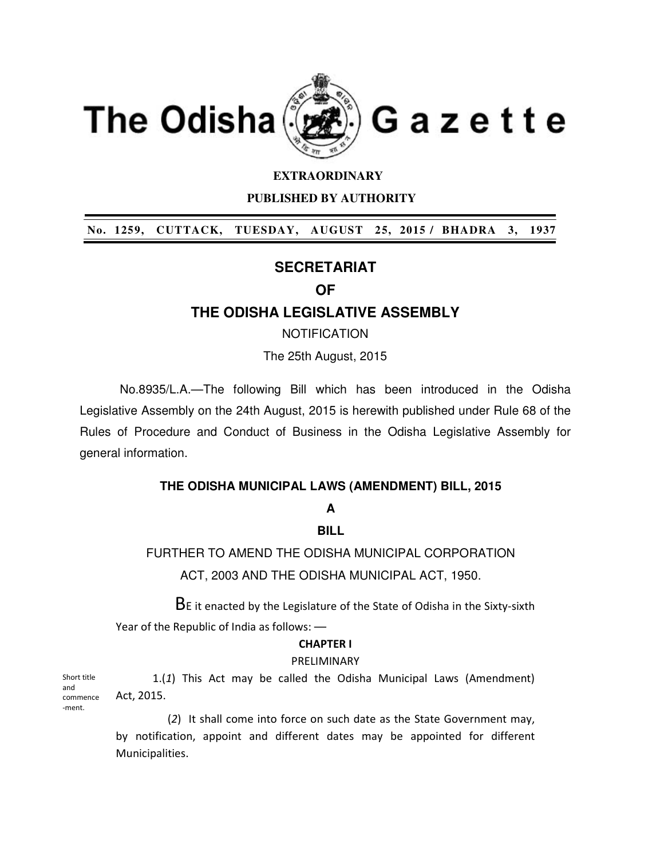

### **EXTRAORDINARY**

 **PUBLISHED BY AUTHORITY** 

 **No. 1259, CUTTACK, TUESDAY, AUGUST 25, 2015 / BHADRA 3, 1937** 

# **SECRETARIAT**

# **OF**

## **THE ODISHA LEGISLATIVE ASSEMBLY**

## **NOTIFICATION**

The 25th August, 2015

No.8935/L.A.—The following Bill which has been introduced in the Odisha Legislative Assembly on the 24th August, 2015 is herewith published under Rule 68 of the Rules of Procedure and Conduct of Business in the Odisha Legislative Assembly for general information.

### **THE ODISHA MUNICIPAL LAWS (AMENDMENT) BILL, 2015**

## **A**

### **BILL**

FURTHER TO AMEND THE ODISHA MUNICIPAL CORPORATION ACT, 2003 AND THE ODISHA MUNICIPAL ACT, 1950.

BE it enacted by the Legislature of the State of Odisha in the Sixty-sixth Year of the Republic of India as follows: —

## **CHAPTER I**

### PRELIMINARY

1.(*1*) This Act may be called the Odisha Municipal Laws (Amendment) Act, 2015.

 (*2*) It shall come into force on such date as the State Government may, by notification, appoint and different dates may be appointed for different Municipalities.

Short title and commence -ment.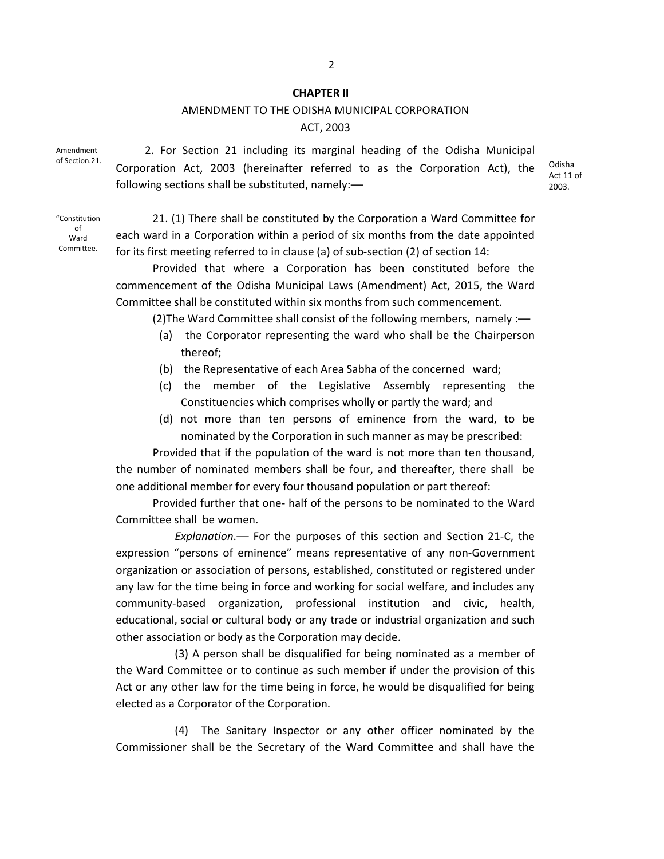#### **CHAPTER II**

## AMENDMENT TO THE ODISHA MUNICIPAL CORPORATION ACT, 2003

Amendment of Section.21.

2. For Section 21 including its marginal heading of the Odisha Municipal Corporation Act, 2003 (hereinafter referred to as the Corporation Act), the following sections shall be substituted, namely:—

Odisha Act 11 of 2003.

"Constitution of Ward Committee.

21. (1) There shall be constituted by the Corporation a Ward Committee for each ward in a Corporation within a period of six months from the date appointed for its first meeting referred to in clause (a) of sub-section (2) of section 14:

Provided that where a Corporation has been constituted before the commencement of the Odisha Municipal Laws (Amendment) Act, 2015, the Ward Committee shall be constituted within six months from such commencement.

(2)The Ward Committee shall consist of the following members, namely :—

- (a) the Corporator representing the ward who shall be the Chairperson thereof;
- (b) the Representative of each Area Sabha of the concerned ward;
- (c) the member of the Legislative Assembly representing the Constituencies which comprises wholly or partly the ward; and
- (d) not more than ten persons of eminence from the ward, to be nominated by the Corporation in such manner as may be prescribed:

Provided that if the population of the ward is not more than ten thousand, the number of nominated members shall be four, and thereafter, there shall be one additional member for every four thousand population or part thereof:

Provided further that one- half of the persons to be nominated to the Ward Committee shall be women.

 *Explanation*.— For the purposes of this section and Section 21-C, the expression "persons of eminence" means representative of any non-Government organization or association of persons, established, constituted or registered under any law for the time being in force and working for social welfare, and includes any community-based organization, professional institution and civic, health, educational, social or cultural body or any trade or industrial organization and such other association or body as the Corporation may decide.

 (3) A person shall be disqualified for being nominated as a member of the Ward Committee or to continue as such member if under the provision of this Act or any other law for the time being in force, he would be disqualified for being elected as a Corporator of the Corporation.

 (4) The Sanitary Inspector or any other officer nominated by the Commissioner shall be the Secretary of the Ward Committee and shall have the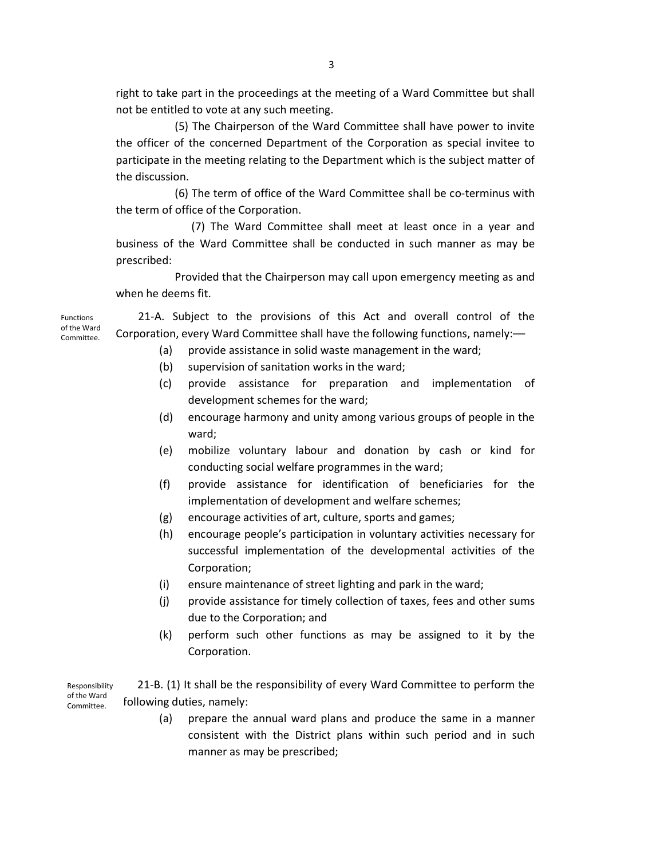right to take part in the proceedings at the meeting of a Ward Committee but shall not be entitled to vote at any such meeting.

 (5) The Chairperson of the Ward Committee shall have power to invite the officer of the concerned Department of the Corporation as special invitee to participate in the meeting relating to the Department which is the subject matter of the discussion.

 (6) The term of office of the Ward Committee shall be co-terminus with the term of office of the Corporation.

 (7) The Ward Committee shall meet at least once in a year and business of the Ward Committee shall be conducted in such manner as may be prescribed:

 Provided that the Chairperson may call upon emergency meeting as and when he deems fit.

 21-A. Subject to the provisions of this Act and overall control of the Corporation, every Ward Committee shall have the following functions, namely:—

- (a) provide assistance in solid waste management in the ward;
- (b) supervision of sanitation works in the ward;
- (c) provide assistance for preparation and implementation of development schemes for the ward;
- (d) encourage harmony and unity among various groups of people in the ward;
- (e) mobilize voluntary labour and donation by cash or kind for conducting social welfare programmes in the ward;
- (f) provide assistance for identification of beneficiaries for the implementation of development and welfare schemes;
- (g) encourage activities of art, culture, sports and games;
- (h) encourage people's participation in voluntary activities necessary for successful implementation of the developmental activities of the Corporation;
- (i) ensure maintenance of street lighting and park in the ward;
- (j) provide assistance for timely collection of taxes, fees and other sums due to the Corporation; and
- (k) perform such other functions as may be assigned to it by the Corporation.

21-B. (1) It shall be the responsibility of every Ward Committee to perform the following duties, namely: Responsibility of the Ward Committee.

> (a) prepare the annual ward plans and produce the same in a manner consistent with the District plans within such period and in such manner as may be prescribed;

Functions of the Ward Committee.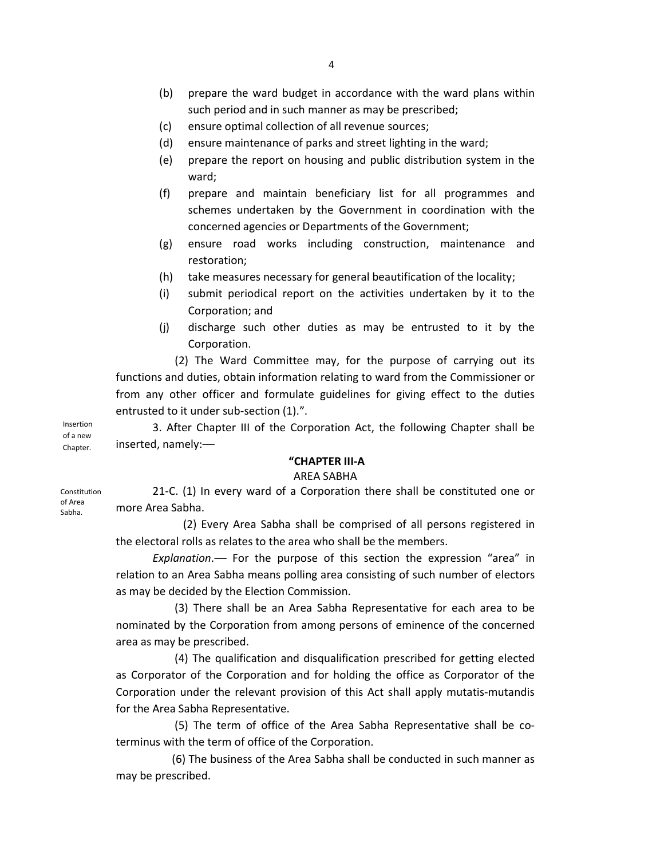- (b) prepare the ward budget in accordance with the ward plans within such period and in such manner as may be prescribed;
- (c) ensure optimal collection of all revenue sources;
- (d) ensure maintenance of parks and street lighting in the ward;
- (e) prepare the report on housing and public distribution system in the ward;
- (f) prepare and maintain beneficiary list for all programmes and schemes undertaken by the Government in coordination with the concerned agencies or Departments of the Government;
- (g) ensure road works including construction, maintenance and restoration;
- (h) take measures necessary for general beautification of the locality;
- (i) submit periodical report on the activities undertaken by it to the Corporation; and
- (j) discharge such other duties as may be entrusted to it by the Corporation.

 (2) The Ward Committee may, for the purpose of carrying out its functions and duties, obtain information relating to ward from the Commissioner or from any other officer and formulate guidelines for giving effect to the duties entrusted to it under sub-section (1).".

3. After Chapter III of the Corporation Act, the following Chapter shall be inserted, namely:— Insertion of a new Chapter.

#### **"CHAPTER III-A**

#### AREA SABHA

21-C. (1) In every ward of a Corporation there shall be constituted one or more Area Sabha.

 (2) Every Area Sabha shall be comprised of all persons registered in the electoral rolls as relates to the area who shall be the members.

*Explanation*.— For the purpose of this section the expression "area" in relation to an Area Sabha means polling area consisting of such number of electors as may be decided by the Election Commission.

 (3) There shall be an Area Sabha Representative for each area to be nominated by the Corporation from among persons of eminence of the concerned area as may be prescribed.

 (4) The qualification and disqualification prescribed for getting elected as Corporator of the Corporation and for holding the office as Corporator of the Corporation under the relevant provision of this Act shall apply mutatis-mutandis for the Area Sabha Representative.

 (5) The term of office of the Area Sabha Representative shall be coterminus with the term of office of the Corporation.

 (6) The business of the Area Sabha shall be conducted in such manner as may be prescribed.

Constitution

of Area Sabha.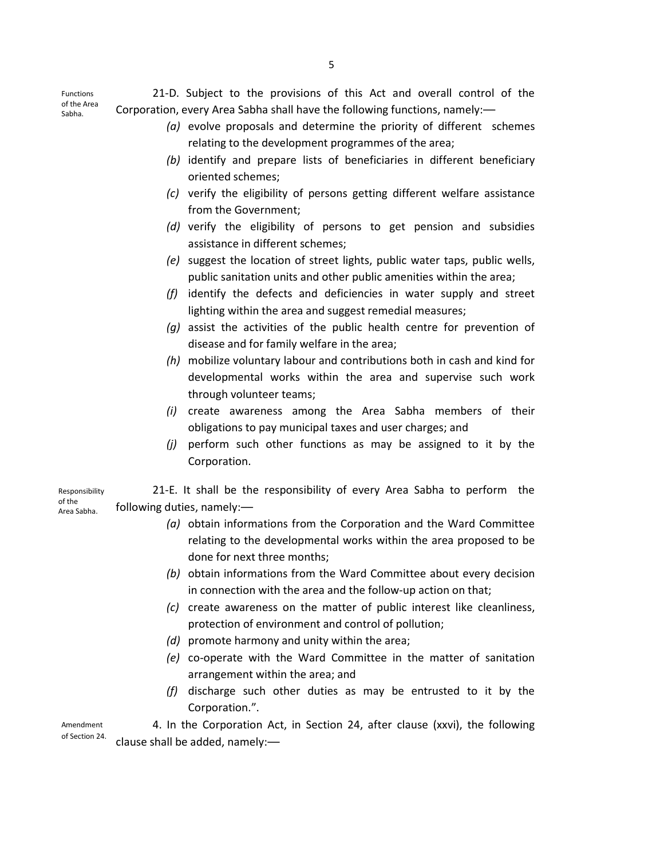Functions of the Area Sabha.

- 21-D. Subject to the provisions of this Act and overall control of the Corporation, every Area Sabha shall have the following functions, namely:—
	- *(a)* evolve proposals and determine the priority of different schemes relating to the development programmes of the area;
	- *(b)* identify and prepare lists of beneficiaries in different beneficiary oriented schemes;
	- *(c)* verify the eligibility of persons getting different welfare assistance from the Government;
	- *(d)* verify the eligibility of persons to get pension and subsidies assistance in different schemes;
	- *(e)* suggest the location of street lights, public water taps, public wells, public sanitation units and other public amenities within the area;
	- *(f)* identify the defects and deficiencies in water supply and street lighting within the area and suggest remedial measures;
	- *(g)* assist the activities of the public health centre for prevention of disease and for family welfare in the area;
	- *(h)* mobilize voluntary labour and contributions both in cash and kind for developmental works within the area and supervise such work through volunteer teams;
	- *(i)* create awareness among the Area Sabha members of their obligations to pay municipal taxes and user charges; and
	- *(j)* perform such other functions as may be assigned to it by the Corporation.

21-E. It shall be the responsibility of every Area Sabha to perform the following duties, namely:— Responsibility of the Area Sabha.

- *(a)* obtain informations from the Corporation and the Ward Committee relating to the developmental works within the area proposed to be done for next three months;
- *(b)* obtain informations from the Ward Committee about every decision in connection with the area and the follow-up action on that;
- *(c)* create awareness on the matter of public interest like cleanliness, protection of environment and control of pollution;
- *(d)* promote harmony and unity within the area;
- *(e)* co-operate with the Ward Committee in the matter of sanitation arrangement within the area; and
- *(f)* discharge such other duties as may be entrusted to it by the Corporation.".

4. In the Corporation Act, in Section 24, after clause (xxvi), the following clause shall be added, namely:— Amendment of Section 24.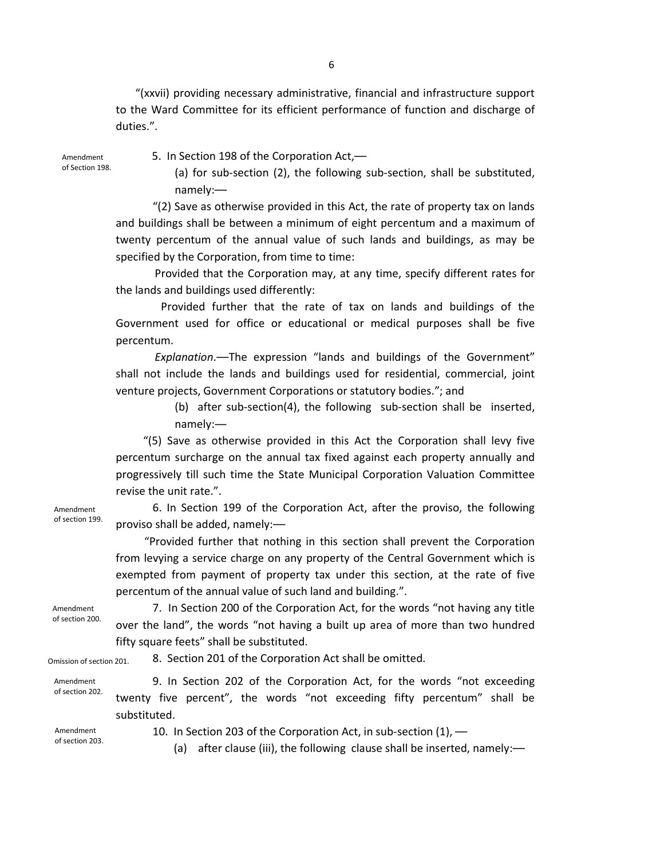"(xxvii) providing necessary administrative, financial and infrastructure support to the Ward Committee for its efficient performance of function and discharge of duties.".

Amendment of Section 198. 5. In Section 198 of the Corporation Act,—

(a) for sub-section (2), the following sub-section, shall be substituted, namely:—

"(2) Save as otherwise provided in this Act, the rate of property tax on lands and buildings shall be between a minimum of eight percentum and a maximum of twenty percentum of the annual value of such lands and buildings, as may be specified by the Corporation, from time to time:

 Provided that the Corporation may, at any time, specify different rates for the lands and buildings used differently:

 Provided further that the rate of tax on lands and buildings of the Government used for office or educational or medical purposes shall be five percentum.

 *Explanation*.—The expression "lands and buildings of the Government" shall not include the lands and buildings used for residential, commercial, joint venture projects, Government Corporations or statutory bodies."; and

> (b) after sub-section(4), the following sub-section shall be inserted, namely:―

 "(5) Save as otherwise provided in this Act the Corporation shall levy five percentum surcharge on the annual tax fixed against each property annually and progressively till such time the State Municipal Corporation Valuation Committee revise the unit rate.".

6. In Section 199 of the Corporation Act, after the proviso, the following proviso shall be added, namely:—

"Provided further that nothing in this section shall prevent the Corporation from levying a service charge on any property of the Central Government which is exempted from payment of property tax under this section, at the rate of five percentum of the annual value of such land and building.".

Amendment of section 200.

Amendment of section 199.

> 7. In Section 200 of the Corporation Act, for the words "not having any title over the land", the words "not having a built up area of more than two hundred fifty square feets" shall be substituted.

Omission of section 201.

8. Section 201 of the Corporation Act shall be omitted.

Amendment of section 202.

9. In Section 202 of the Corporation Act, for the words "not exceeding twenty five percent", the words "not exceeding fifty percentum" shall be substituted.

Amendment of section 203. 10. In Section 203 of the Corporation Act, in sub-section (1), —

(a) after clause (iii), the following clause shall be inserted, namely:—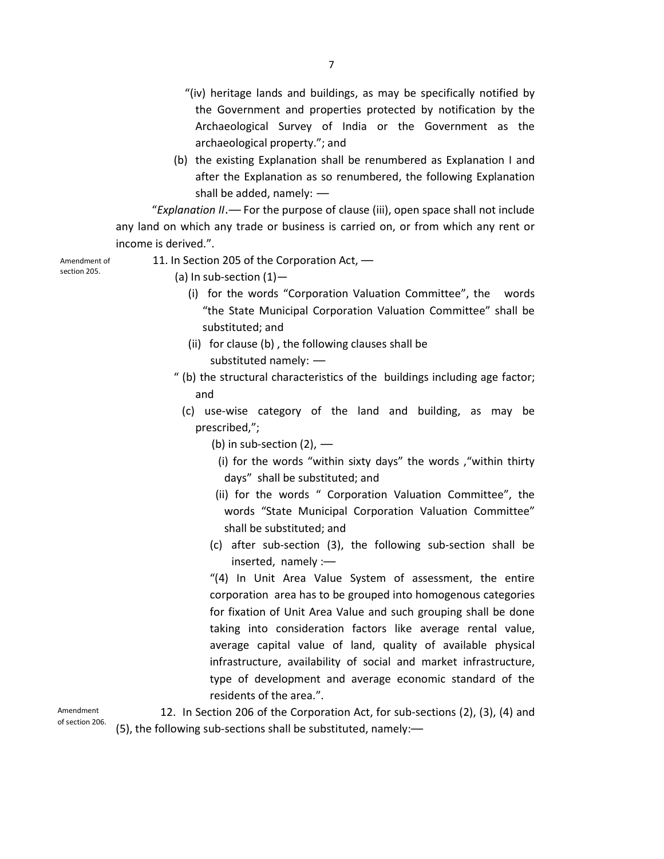- "(iv) heritage lands and buildings, as may be specifically notified by the Government and properties protected by notification by the Archaeological Survey of India or the Government as the archaeological property."; and
- (b) the existing Explanation shall be renumbered as Explanation I and after the Explanation as so renumbered, the following Explanation shall be added, namely: —

 "*Explanation II*.— For the purpose of clause (iii), open space shall not include any land on which any trade or business is carried on, or from which any rent or income is derived.".

Amendment of section 205.

- 11. In Section 205 of the Corporation Act,
	- (a) In sub-section  $(1)$ -
		- (i) for the words "Corporation Valuation Committee", the words "the State Municipal Corporation Valuation Committee" shall be substituted; and
		- (ii) for clause (b) , the following clauses shall be substituted namely: —
	- " (b) the structural characteristics of the buildings including age factor; and
		- (c) use-wise category of the land and building, as may be prescribed,";
			- (b) in sub-section  $(2)$ ,  $-$ 
				- (i) for the words "within sixty days" the words ,"within thirty days" shall be substituted; and
			- (ii) for the words " Corporation Valuation Committee", the words "State Municipal Corporation Valuation Committee" shall be substituted; and
			- (c) after sub-section (3), the following sub-section shall be inserted, namely :—

"(4) In Unit Area Value System of assessment, the entire corporation area has to be grouped into homogenous categories for fixation of Unit Area Value and such grouping shall be done taking into consideration factors like average rental value, average capital value of land, quality of available physical infrastructure, availability of social and market infrastructure, type of development and average economic standard of the residents of the area.".

Amendment of section 206.

12. In Section 206 of the Corporation Act, for sub-sections (2), (3), (4) and (5), the following sub-sections shall be substituted, namely:—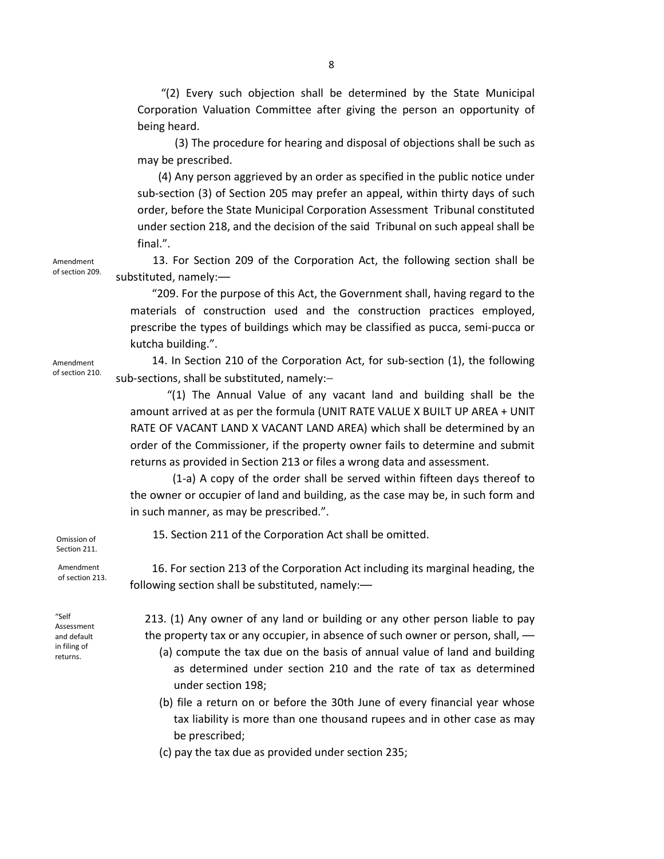"(2) Every such objection shall be determined by the State Municipal Corporation Valuation Committee after giving the person an opportunity of being heard.

 (3) The procedure for hearing and disposal of objections shall be such as may be prescribed.

 (4) Any person aggrieved by an order as specified in the public notice under sub-section (3) of Section 205 may prefer an appeal, within thirty days of such order, before the State Municipal Corporation Assessment Tribunal constituted under section 218, and the decision of the said Tribunal on such appeal shall be final.".

13. For Section 209 of the Corporation Act, the following section shall be substituted, namely:—

 "209. For the purpose of this Act, the Government shall, having regard to the materials of construction used and the construction practices employed, prescribe the types of buildings which may be classified as pucca, semi-pucca or kutcha building.".

14. In Section 210 of the Corporation Act, for sub-section (1), the following sub-sections, shall be substituted, namely:-

"(1) The Annual Value of any vacant land and building shall be the amount arrived at as per the formula (UNIT RATE VALUE X BUILT UP AREA + UNIT RATE OF VACANT LAND X VACANT LAND AREA) which shall be determined by an order of the Commissioner, if the property owner fails to determine and submit returns as provided in Section 213 or files a wrong data and assessment.

 (1-a) A copy of the order shall be served within fifteen days thereof to the owner or occupier of land and building, as the case may be, in such form and in such manner, as may be prescribed.".

15. Section 211 of the Corporation Act shall be omitted.

16. For section 213 of the Corporation Act including its marginal heading, the following section shall be substituted, namely:—

213. (1) Any owner of any land or building or any other person liable to pay the property tax or any occupier, in absence of such owner or person, shall, —

- (a) compute the tax due on the basis of annual value of land and building as determined under section 210 and the rate of tax as determined under section 198;
- (b) file a return on or before the 30th June of every financial year whose tax liability is more than one thousand rupees and in other case as may be prescribed;
- (c) pay the tax due as provided under section 235;

Amendment of section 210.

Amendment of section 209.

Omission of Section 211.

Amendment of section 213.

"Self Assessment and default in filing of returns.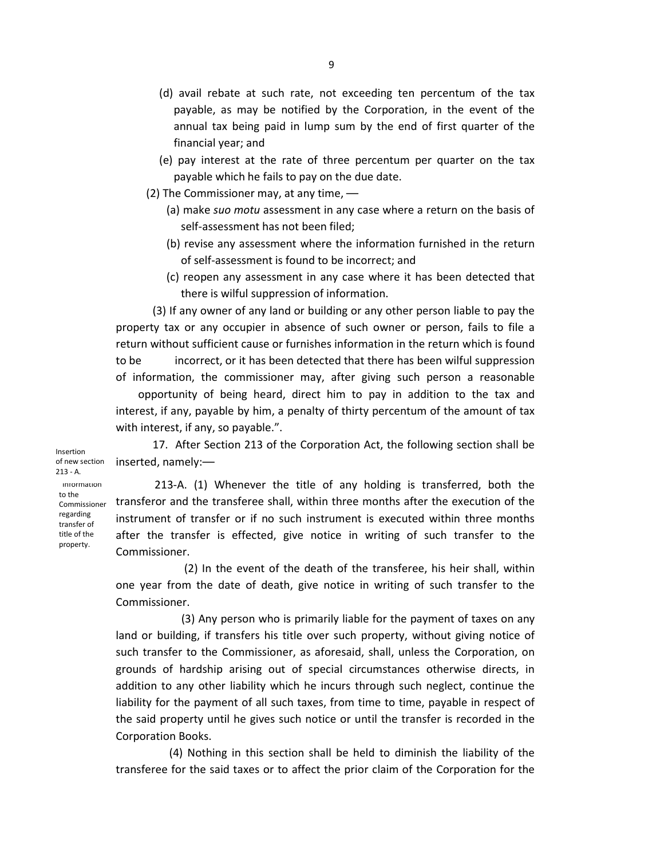- (d) avail rebate at such rate, not exceeding ten percentum of the tax payable, as may be notified by the Corporation, in the event of the annual tax being paid in lump sum by the end of first quarter of the financial year; and
- (e) pay interest at the rate of three percentum per quarter on the tax payable which he fails to pay on the due date.
- (2) The Commissioner may, at any time,
	- (a) make *suo motu* assessment in any case where a return on the basis of self-assessment has not been filed;
	- (b) revise any assessment where the information furnished in the return of self-assessment is found to be incorrect; and
	- (c) reopen any assessment in any case where it has been detected that there is wilful suppression of information.

(3) If any owner of any land or building or any other person liable to pay the property tax or any occupier in absence of such owner or person, fails to file a return without sufficient cause or furnishes information in the return which is found to be incorrect, or it has been detected that there has been wilful suppression of information, the commissioner may, after giving such person a reasonable

 opportunity of being heard, direct him to pay in addition to the tax and interest, if any, payable by him, a penalty of thirty percentum of the amount of tax with interest, if any, so payable.".

17. After Section 213 of the Corporation Act, the following section shall be inserted, namely:—

Insertion of new section 213 - A.

"Information to the Commissioner regarding transfer of title of the property.

 213-A. (1) Whenever the title of any holding is transferred, both the transferor and the transferee shall, within three months after the execution of the instrument of transfer or if no such instrument is executed within three months after the transfer is effected, give notice in writing of such transfer to the Commissioner.

 (2) In the event of the death of the transferee, his heir shall, within one year from the date of death, give notice in writing of such transfer to the Commissioner.

 (3) Any person who is primarily liable for the payment of taxes on any land or building, if transfers his title over such property, without giving notice of such transfer to the Commissioner, as aforesaid, shall, unless the Corporation, on grounds of hardship arising out of special circumstances otherwise directs, in addition to any other liability which he incurs through such neglect, continue the liability for the payment of all such taxes, from time to time, payable in respect of the said property until he gives such notice or until the transfer is recorded in the Corporation Books.

 (4) Nothing in this section shall be held to diminish the liability of the transferee for the said taxes or to affect the prior claim of the Corporation for the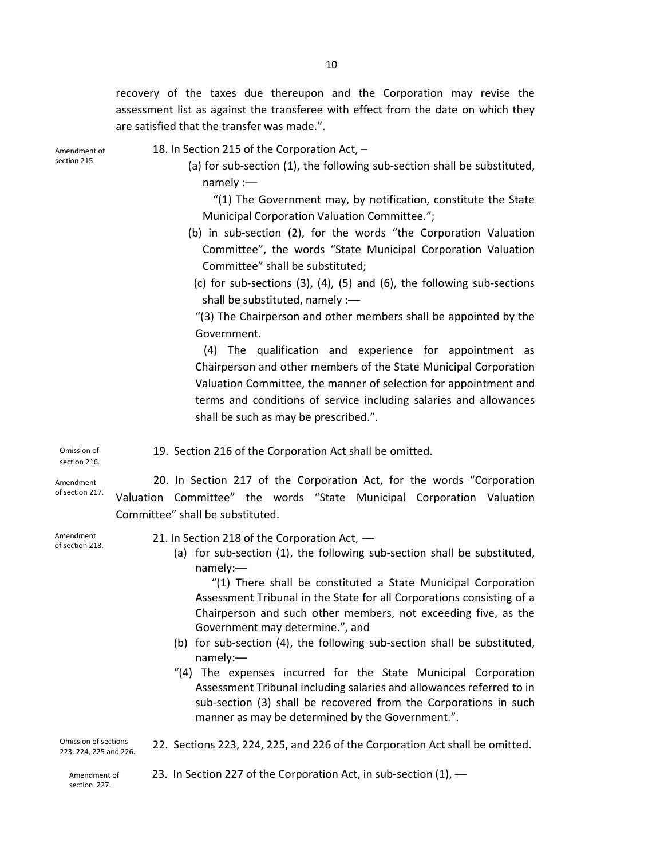recovery of the taxes due thereupon and the Corporation may revise the assessment list as against the transferee with effect from the date on which they are satisfied that the transfer was made.".

Amendment of section 215.

- 18. In Section 215 of the Corporation Act,
	- (a) for sub-section (1), the following sub-section shall be substituted, namely :—

 "(1) The Government may, by notification, constitute the State Municipal Corporation Valuation Committee.";

- (b) in sub-section (2), for the words "the Corporation Valuation Committee", the words "State Municipal Corporation Valuation Committee" shall be substituted;
- (c) for sub-sections (3), (4), (5) and (6), the following sub-sections shall be substituted, namely :—

"(3) The Chairperson and other members shall be appointed by the Government.

 (4) The qualification and experience for appointment as Chairperson and other members of the State Municipal Corporation Valuation Committee, the manner of selection for appointment and terms and conditions of service including salaries and allowances shall be such as may be prescribed.".

 19. Section 216 of the Corporation Act shall be omitted. Omission of section 216.

Committee" shall be substituted.

Amendment of section 217.

Amendment of section 218. 21. In Section 218 of the Corporation Act, —

(a) for sub-section (1), the following sub-section shall be substituted, namely:—

20. In Section 217 of the Corporation Act, for the words "Corporation

Valuation Committee" the words "State Municipal Corporation Valuation

"(1) There shall be constituted a State Municipal Corporation Assessment Tribunal in the State for all Corporations consisting of a Chairperson and such other members, not exceeding five, as the Government may determine.", and

- (b) for sub-section (4), the following sub-section shall be substituted, namely:—
- "(4) The expenses incurred for the State Municipal Corporation Assessment Tribunal including salaries and allowances referred to in sub-section (3) shall be recovered from the Corporations in such manner as may be determined by the Government.".

Omission of sections 223, 224, 225 and 226.

22. Sections 223, 224, 225, and 226 of the Corporation Act shall be omitted.

Amendment of section 227.

23. In Section 227 of the Corporation Act, in sub-section (1), —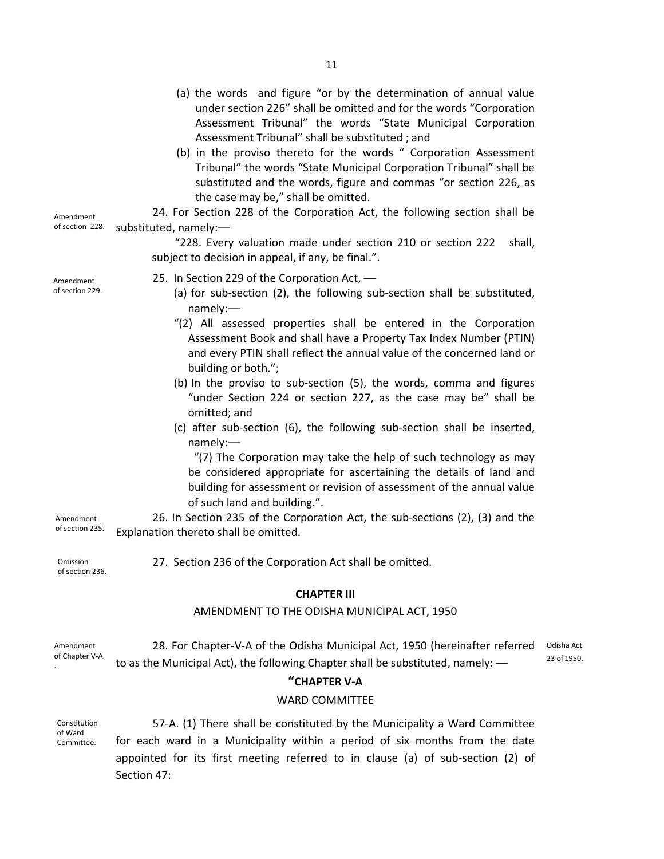| Amendment<br>of section 228.                                      | (a) the words and figure "or by the determination of annual value<br>under section 226" shall be omitted and for the words "Corporation<br>Assessment Tribunal" the words "State Municipal Corporation<br>Assessment Tribunal" shall be substituted; and<br>(b) in the proviso thereto for the words " Corporation Assessment<br>Tribunal" the words "State Municipal Corporation Tribunal" shall be<br>substituted and the words, figure and commas "or section 226, as<br>the case may be," shall be omitted.<br>24. For Section 228 of the Corporation Act, the following section shall be<br>substituted, namely:-<br>"228. Every valuation made under section 210 or section 222<br>shall,<br>subject to decision in appeal, if any, be final.".                                                                                                                                                                                                                                                      |                           |
|-------------------------------------------------------------------|------------------------------------------------------------------------------------------------------------------------------------------------------------------------------------------------------------------------------------------------------------------------------------------------------------------------------------------------------------------------------------------------------------------------------------------------------------------------------------------------------------------------------------------------------------------------------------------------------------------------------------------------------------------------------------------------------------------------------------------------------------------------------------------------------------------------------------------------------------------------------------------------------------------------------------------------------------------------------------------------------------|---------------------------|
| Amendment<br>of section 229.<br>Amendment<br>of section 235.      | 25. In Section 229 of the Corporation Act, -<br>(a) for sub-section (2), the following sub-section shall be substituted,<br>namely:<br>"(2) All assessed properties shall be entered in the Corporation<br>Assessment Book and shall have a Property Tax Index Number (PTIN)<br>and every PTIN shall reflect the annual value of the concerned land or<br>building or both.";<br>(b) In the proviso to sub-section (5), the words, comma and figures<br>"under Section 224 or section 227, as the case may be" shall be<br>omitted; and<br>(c) after sub-section (6), the following sub-section shall be inserted,<br>namely:-<br>"(7) The Corporation may take the help of such technology as may<br>be considered appropriate for ascertaining the details of land and<br>building for assessment or revision of assessment of the annual value<br>of such land and building.".<br>26. In Section 235 of the Corporation Act, the sub-sections (2), (3) and the<br>Explanation thereto shall be omitted. |                           |
| Omission<br>of section 236.                                       | 27. Section 236 of the Corporation Act shall be omitted.                                                                                                                                                                                                                                                                                                                                                                                                                                                                                                                                                                                                                                                                                                                                                                                                                                                                                                                                                   |                           |
| <b>CHAPTER III</b><br>AMENDMENT TO THE ODISHA MUNICIPAL ACT, 1950 |                                                                                                                                                                                                                                                                                                                                                                                                                                                                                                                                                                                                                                                                                                                                                                                                                                                                                                                                                                                                            |                           |
| Amendment<br>of Chapter V-A.                                      | 28. For Chapter-V-A of the Odisha Municipal Act, 1950 (hereinafter referred<br>to as the Municipal Act), the following Chapter shall be substituted, namely: -<br>"CHAPTER V-A<br><b>WARD COMMITTEE</b>                                                                                                                                                                                                                                                                                                                                                                                                                                                                                                                                                                                                                                                                                                                                                                                                    | Odisha Act<br>23 of 1950. |
| Constitution<br>of Ward<br>Committee.                             | 57-A. (1) There shall be constituted by the Municipality a Ward Committee<br>for each ward in a Municipality within a period of six months from the date<br>appointed for its first meeting referred to in clause (a) of sub-section (2) of<br>Section 47:                                                                                                                                                                                                                                                                                                                                                                                                                                                                                                                                                                                                                                                                                                                                                 |                           |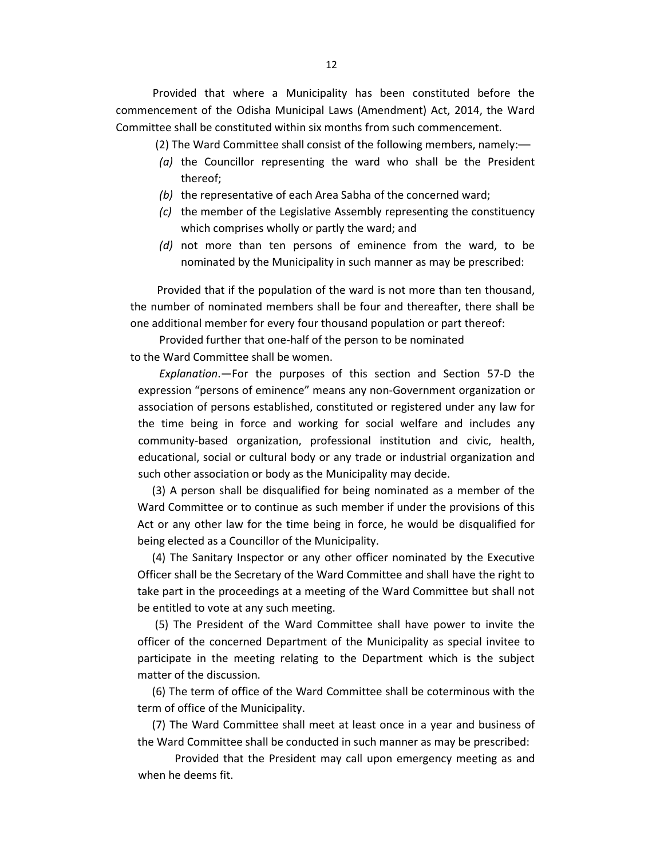Provided that where a Municipality has been constituted before the commencement of the Odisha Municipal Laws (Amendment) Act, 2014, the Ward Committee shall be constituted within six months from such commencement.

(2) The Ward Committee shall consist of the following members, namely:—

- *(a)* the Councillor representing the ward who shall be the President thereof;
- *(b)* the representative of each Area Sabha of the concerned ward;
- *(c)* the member of the Legislative Assembly representing the constituency which comprises wholly or partly the ward; and
- *(d)* not more than ten persons of eminence from the ward, to be nominated by the Municipality in such manner as may be prescribed:

 Provided that if the population of the ward is not more than ten thousand, the number of nominated members shall be four and thereafter, there shall be one additional member for every four thousand population or part thereof:

Provided further that one-half of the person to be nominated to the Ward Committee shall be women.

*Explanation*.—For the purposes of this section and Section 57-D the expression "persons of eminence" means any non-Government organization or association of persons established, constituted or registered under any law for the time being in force and working for social welfare and includes any community-based organization, professional institution and civic, health, educational, social or cultural body or any trade or industrial organization and such other association or body as the Municipality may decide.

(3) A person shall be disqualified for being nominated as a member of the Ward Committee or to continue as such member if under the provisions of this Act or any other law for the time being in force, he would be disqualified for being elected as a Councillor of the Municipality.

(4) The Sanitary Inspector or any other officer nominated by the Executive Officer shall be the Secretary of the Ward Committee and shall have the right to take part in the proceedings at a meeting of the Ward Committee but shall not be entitled to vote at any such meeting.

 (5) The President of the Ward Committee shall have power to invite the officer of the concerned Department of the Municipality as special invitee to participate in the meeting relating to the Department which is the subject matter of the discussion.

(6) The term of office of the Ward Committee shall be coterminous with the term of office of the Municipality.

(7) The Ward Committee shall meet at least once in a year and business of the Ward Committee shall be conducted in such manner as may be prescribed:

Provided that the President may call upon emergency meeting as and when he deems fit.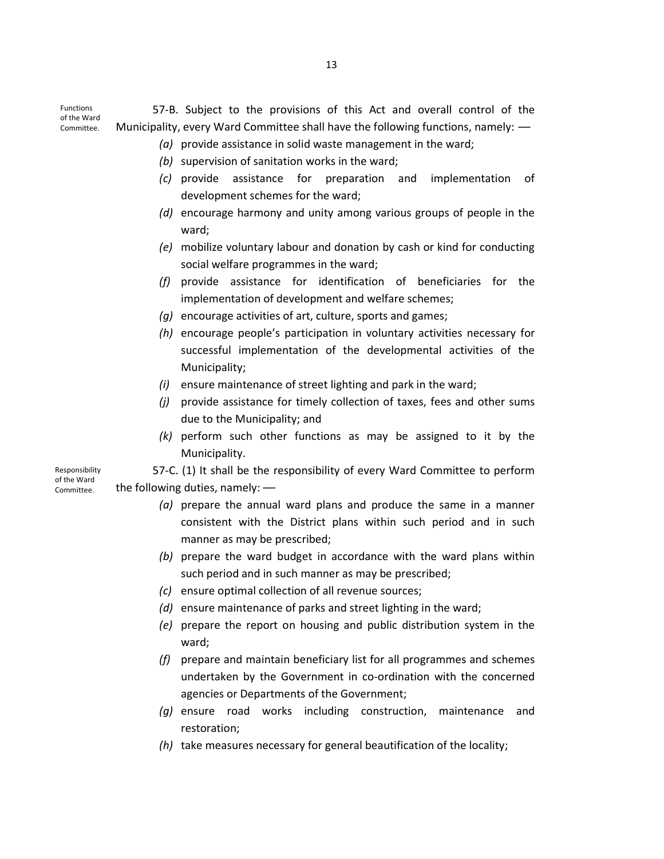Functions of the Ward Committee.

57-B. Subject to the provisions of this Act and overall control of the Municipality, every Ward Committee shall have the following functions, namely: —

- *(a)* provide assistance in solid waste management in the ward;
- *(b)* supervision of sanitation works in the ward;
- *(c)* provide assistance for preparation and implementation of development schemes for the ward;
- *(d)* encourage harmony and unity among various groups of people in the ward;
- *(e)* mobilize voluntary labour and donation by cash or kind for conducting social welfare programmes in the ward;
- *(f)* provide assistance for identification of beneficiaries for the implementation of development and welfare schemes;
- *(g)* encourage activities of art, culture, sports and games;
- *(h)* encourage people's participation in voluntary activities necessary for successful implementation of the developmental activities of the Municipality;
- *(i)* ensure maintenance of street lighting and park in the ward;
- *(j)* provide assistance for timely collection of taxes, fees and other sums due to the Municipality; and
- *(k)* perform such other functions as may be assigned to it by the Municipality.

57-C. (1) It shall be the responsibility of every Ward Committee to perform the following duties, namely: —

- *(a)* prepare the annual ward plans and produce the same in a manner consistent with the District plans within such period and in such manner as may be prescribed;
- *(b)* prepare the ward budget in accordance with the ward plans within such period and in such manner as may be prescribed;
- *(c)* ensure optimal collection of all revenue sources;
- *(d)* ensure maintenance of parks and street lighting in the ward;
- *(e)* prepare the report on housing and public distribution system in the ward;
- *(f)* prepare and maintain beneficiary list for all programmes and schemes undertaken by the Government in co-ordination with the concerned agencies or Departments of the Government;
- *(g)* ensure road works including construction, maintenance and restoration;
- *(h)* take measures necessary for general beautification of the locality;

Responsibility of the Ward Committee.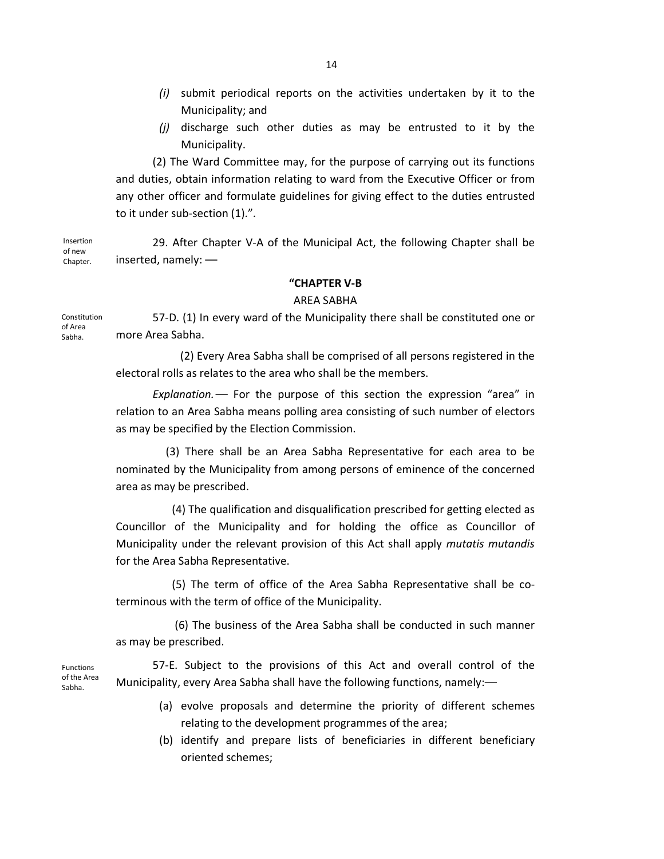- 14
- *(i)* submit periodical reports on the activities undertaken by it to the Municipality; and
- *(j)* discharge such other duties as may be entrusted to it by the Municipality.

(2) The Ward Committee may, for the purpose of carrying out its functions and duties, obtain information relating to ward from the Executive Officer or from any other officer and formulate guidelines for giving effect to the duties entrusted to it under sub-section (1).".

29. After Chapter V-A of the Municipal Act, the following Chapter shall be inserted, namely: — Insertion of new Chapter.

#### **"CHAPTER V-B**

#### AREA SABHA

57-D. (1) In every ward of the Municipality there shall be constituted one or more Area Sabha. Constitution of Area

> (2) Every Area Sabha shall be comprised of all persons registered in the electoral rolls as relates to the area who shall be the members.

> *Explanation.*— For the purpose of this section the expression "area" in relation to an Area Sabha means polling area consisting of such number of electors as may be specified by the Election Commission.

> (3) There shall be an Area Sabha Representative for each area to be nominated by the Municipality from among persons of eminence of the concerned area as may be prescribed.

> (4) The qualification and disqualification prescribed for getting elected as Councillor of the Municipality and for holding the office as Councillor of Municipality under the relevant provision of this Act shall apply *mutatis mutandis* for the Area Sabha Representative.

> (5) The term of office of the Area Sabha Representative shall be coterminous with the term of office of the Municipality.

> (6) The business of the Area Sabha shall be conducted in such manner as may be prescribed.

57-E. Subject to the provisions of this Act and overall control of the Municipality, every Area Sabha shall have the following functions, namely:— Functions of the Area

- (a) evolve proposals and determine the priority of different schemes relating to the development programmes of the area;
- (b) identify and prepare lists of beneficiaries in different beneficiary oriented schemes;

Sabha.

Sabha.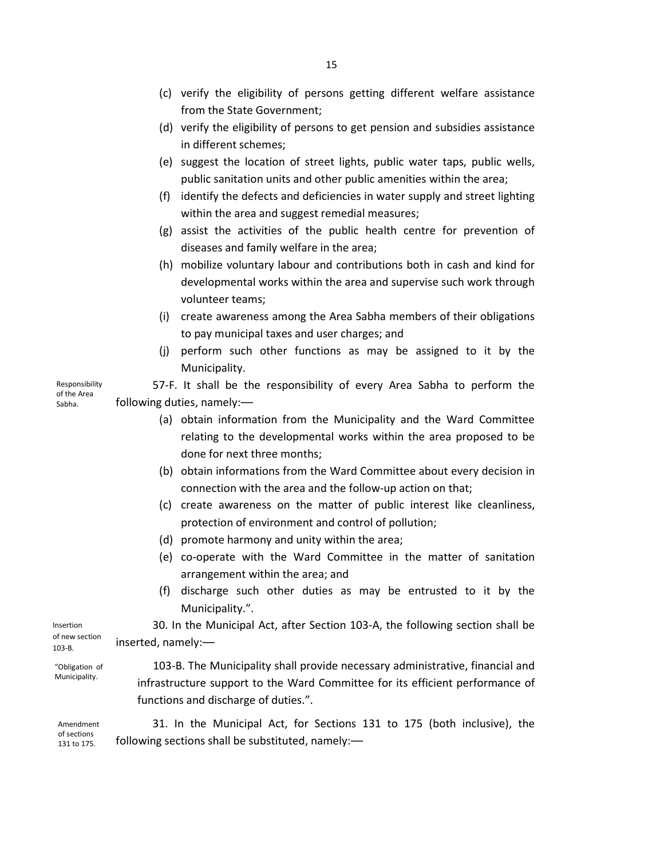- (c) verify the eligibility of persons getting different welfare assistance from the State Government;
- (d) verify the eligibility of persons to get pension and subsidies assistance in different schemes;
- (e) suggest the location of street lights, public water taps, public wells, public sanitation units and other public amenities within the area;
- (f) identify the defects and deficiencies in water supply and street lighting within the area and suggest remedial measures;
- (g) assist the activities of the public health centre for prevention of diseases and family welfare in the area;
- (h) mobilize voluntary labour and contributions both in cash and kind for developmental works within the area and supervise such work through volunteer teams;
- (i) create awareness among the Area Sabha members of their obligations to pay municipal taxes and user charges; and
- (j) perform such other functions as may be assigned to it by the Municipality.

57-F. It shall be the responsibility of every Area Sabha to perform the following duties, namely:—

- (a) obtain information from the Municipality and the Ward Committee relating to the developmental works within the area proposed to be done for next three months;
- (b) obtain informations from the Ward Committee about every decision in connection with the area and the follow-up action on that;
- (c) create awareness on the matter of public interest like cleanliness, protection of environment and control of pollution;
- (d) promote harmony and unity within the area;
- (e) co-operate with the Ward Committee in the matter of sanitation arrangement within the area; and
- (f) discharge such other duties as may be entrusted to it by the Municipality.".

30. In the Municipal Act, after Section 103-A, the following section shall be inserted, namely:— Insertion

"Obligation of Municipality.

103-B. The Municipality shall provide necessary administrative, financial and infrastructure support to the Ward Committee for its efficient performance of functions and discharge of duties.".

31. In the Municipal Act, for Sections 131 to 175 (both inclusive), the following sections shall be substituted, namely:— Amendment of sections 131 to 175.

Responsibility of the Area Sabha.

of new section 103-B.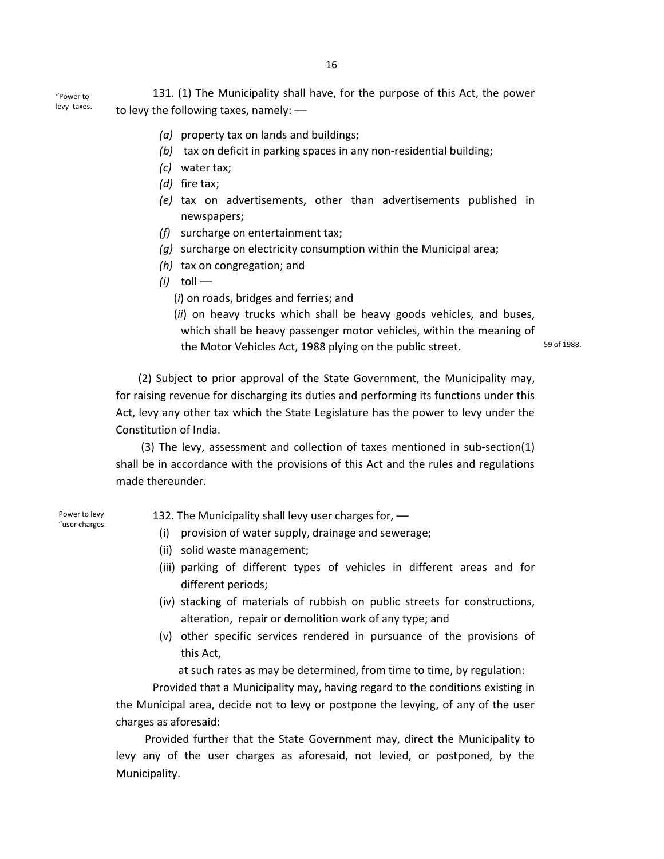16

131. (1) The Municipality shall have, for the purpose of this Act, the power to levy the following taxes, namely: — "Power to

- *(a)* property tax on lands and buildings;
- *(b)* tax on deficit in parking spaces in any non-residential building;
- *(c)* water tax;
- *(d)* fire tax;
- *(e)* tax on advertisements, other than advertisements published in newspapers;
- *(f)* surcharge on entertainment tax;
- *(g)* surcharge on electricity consumption within the Municipal area;
- *(h)* tax on congregation; and
- *(i)* toll
	- (*i*) on roads, bridges and ferries; and

(*ii*) on heavy trucks which shall be heavy goods vehicles, and buses, which shall be heavy passenger motor vehicles, within the meaning of the Motor Vehicles Act, 1988 plying on the public street.

59 of 1988.

 (2) Subject to prior approval of the State Government, the Municipality may, for raising revenue for discharging its duties and performing its functions under this Act, levy any other tax which the State Legislature has the power to levy under the Constitution of India.

 (3) The levy, assessment and collection of taxes mentioned in sub-section(1) shall be in accordance with the provisions of this Act and the rules and regulations made thereunder.

Power to levy "user charges. 132. The Municipality shall levy user charges for,  $\rightarrow$ 

- (i) provision of water supply, drainage and sewerage;
- (ii) solid waste management;
- (iii) parking of different types of vehicles in different areas and for different periods;
- (iv) stacking of materials of rubbish on public streets for constructions, alteration, repair or demolition work of any type; and
- (v) other specific services rendered in pursuance of the provisions of this Act,

at such rates as may be determined, from time to time, by regulation:

Provided that a Municipality may, having regard to the conditions existing in the Municipal area, decide not to levy or postpone the levying, of any of the user charges as aforesaid:

Provided further that the State Government may, direct the Municipality to levy any of the user charges as aforesaid, not levied, or postponed, by the Municipality.

levy taxes.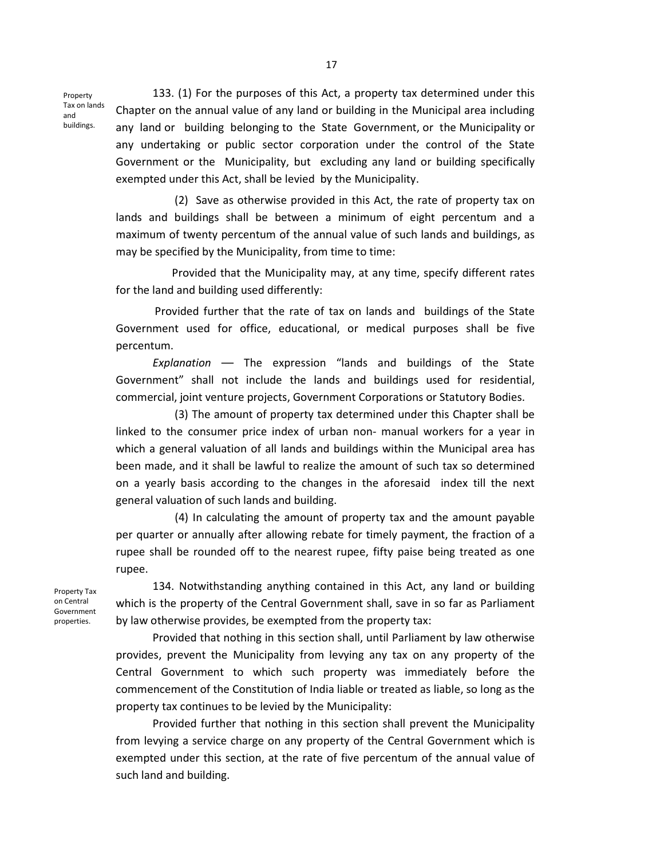Property Tax on lands and buildings.

133. (1) For the purposes of this Act, a property tax determined under this Chapter on the annual value of any land or building in the Municipal area including any land or building belonging to the State Government, or the Municipality or any undertaking or public sector corporation under the control of the State Government or the Municipality, but excluding any land or building specifically exempted under this Act, shall be levied by the Municipality.

 (2) Save as otherwise provided in this Act, the rate of property tax on lands and buildings shall be between a minimum of eight percentum and a maximum of twenty percentum of the annual value of such lands and buildings, as may be specified by the Municipality, from time to time:

 Provided that the Municipality may, at any time, specify different rates for the land and building used differently:

 Provided further that the rate of tax on lands and buildings of the State Government used for office, educational, or medical purposes shall be five percentum.

*Explanation* — The expression "lands and buildings of the State Government" shall not include the lands and buildings used for residential, commercial, joint venture projects, Government Corporations or Statutory Bodies.

 (3) The amount of property tax determined under this Chapter shall be linked to the consumer price index of urban non- manual workers for a year in which a general valuation of all lands and buildings within the Municipal area has been made, and it shall be lawful to realize the amount of such tax so determined on a yearly basis according to the changes in the aforesaid index till the next general valuation of such lands and building.

 (4) In calculating the amount of property tax and the amount payable per quarter or annually after allowing rebate for timely payment, the fraction of a rupee shall be rounded off to the nearest rupee, fifty paise being treated as one rupee.

Property Tax on Central Government properties.

134. Notwithstanding anything contained in this Act, any land or building which is the property of the Central Government shall, save in so far as Parliament by law otherwise provides, be exempted from the property tax:

Provided that nothing in this section shall, until Parliament by law otherwise provides, prevent the Municipality from levying any tax on any property of the Central Government to which such property was immediately before the commencement of the Constitution of India liable or treated as liable, so long as the property tax continues to be levied by the Municipality:

Provided further that nothing in this section shall prevent the Municipality from levying a service charge on any property of the Central Government which is exempted under this section, at the rate of five percentum of the annual value of such land and building.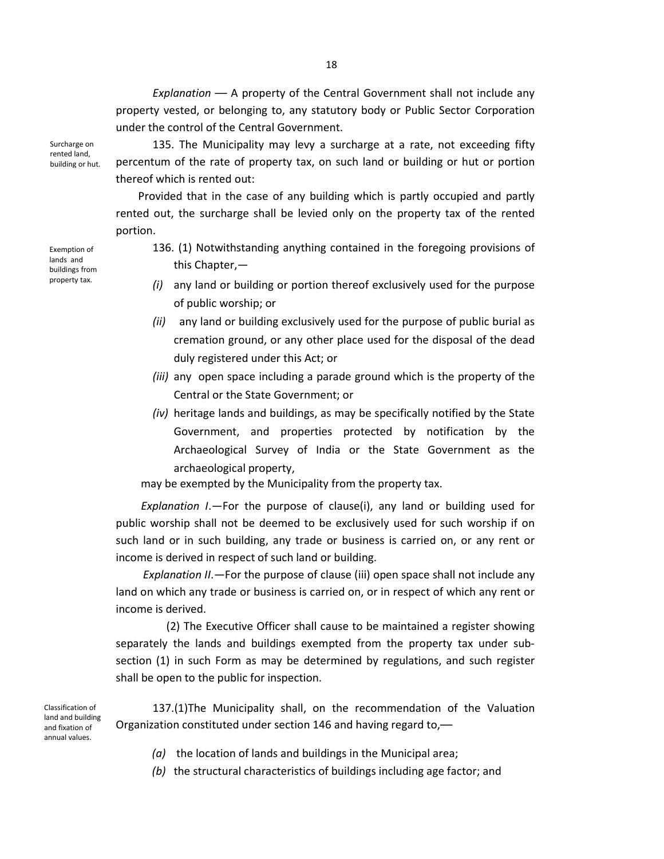*Explanation* — A property of the Central Government shall not include any property vested, or belonging to, any statutory body or Public Sector Corporation under the control of the Central Government.

Surcharge on rented land, building or hut.

135. The Municipality may levy a surcharge at a rate, not exceeding fifty percentum of the rate of property tax, on such land or building or hut or portion thereof which is rented out:

 Provided that in the case of any building which is partly occupied and partly rented out, the surcharge shall be levied only on the property tax of the rented portion.

Exemption of lands and buildings from property tax.

- 136. (1) Notwithstanding anything contained in the foregoing provisions of this Chapter,—
- *(i)* any land or building or portion thereof exclusively used for the purpose of public worship; or
- *(ii)* any land or building exclusively used for the purpose of public burial as cremation ground, or any other place used for the disposal of the dead duly registered under this Act; or
- *(iii)* any open space including a parade ground which is the property of the Central or the State Government; or
- *(iv)* heritage lands and buildings, as may be specifically notified by the State Government, and properties protected by notification by the Archaeological Survey of India or the State Government as the archaeological property,

may be exempted by the Municipality from the property tax.

 *Explanation I*.—For the purpose of clause(i), any land or building used for public worship shall not be deemed to be exclusively used for such worship if on such land or in such building, any trade or business is carried on, or any rent or income is derived in respect of such land or building.

 *Explanation II*.—For the purpose of clause (iii) open space shall not include any land on which any trade or business is carried on, or in respect of which any rent or income is derived.

 (2) The Executive Officer shall cause to be maintained a register showing separately the lands and buildings exempted from the property tax under subsection (1) in such Form as may be determined by regulations, and such register shall be open to the public for inspection.

Classification of land and building and fixation of annual values.

137.(1)The Municipality shall, on the recommendation of the Valuation Organization constituted under section 146 and having regard to,—

- *(a)* the location of lands and buildings in the Municipal area;
- *(b)* the structural characteristics of buildings including age factor; and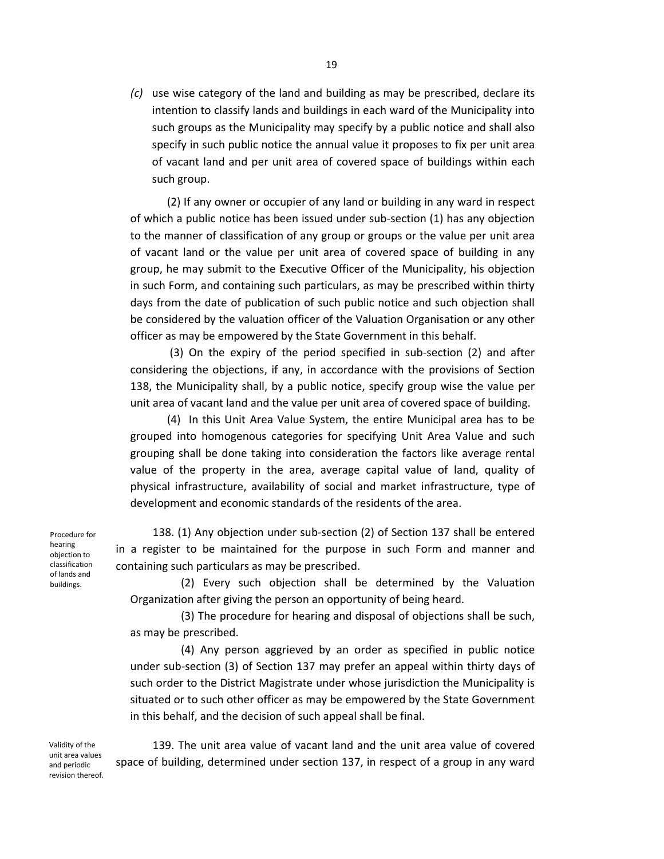*(c)* use wise category of the land and building as may be prescribed, declare its intention to classify lands and buildings in each ward of the Municipality into such groups as the Municipality may specify by a public notice and shall also specify in such public notice the annual value it proposes to fix per unit area of vacant land and per unit area of covered space of buildings within each such group.

(2) If any owner or occupier of any land or building in any ward in respect of which a public notice has been issued under sub-section (1) has any objection to the manner of classification of any group or groups or the value per unit area of vacant land or the value per unit area of covered space of building in any group, he may submit to the Executive Officer of the Municipality, his objection in such Form, and containing such particulars, as may be prescribed within thirty days from the date of publication of such public notice and such objection shall be considered by the valuation officer of the Valuation Organisation or any other officer as may be empowered by the State Government in this behalf.

 (3) On the expiry of the period specified in sub-section (2) and after considering the objections, if any, in accordance with the provisions of Section 138, the Municipality shall, by a public notice, specify group wise the value per unit area of vacant land and the value per unit area of covered space of building.

(4) In this Unit Area Value System, the entire Municipal area has to be grouped into homogenous categories for specifying Unit Area Value and such grouping shall be done taking into consideration the factors like average rental value of the property in the area, average capital value of land, quality of physical infrastructure, availability of social and market infrastructure, type of development and economic standards of the residents of the area.

138. (1) Any objection under sub-section (2) of Section 137 shall be entered in a register to be maintained for the purpose in such Form and manner and containing such particulars as may be prescribed.

(2) Every such objection shall be determined by the Valuation Organization after giving the person an opportunity of being heard.

(3) The procedure for hearing and disposal of objections shall be such, as may be prescribed.

(4) Any person aggrieved by an order as specified in public notice under sub-section (3) of Section 137 may prefer an appeal within thirty days of such order to the District Magistrate under whose jurisdiction the Municipality is situated or to such other officer as may be empowered by the State Government in this behalf, and the decision of such appeal shall be final.

Validity of the unit area values and periodic revision thereof.

139. The unit area value of vacant land and the unit area value of covered space of building, determined under section 137, in respect of a group in any ward

Procedure for hearing objection to classification of lands and buildings.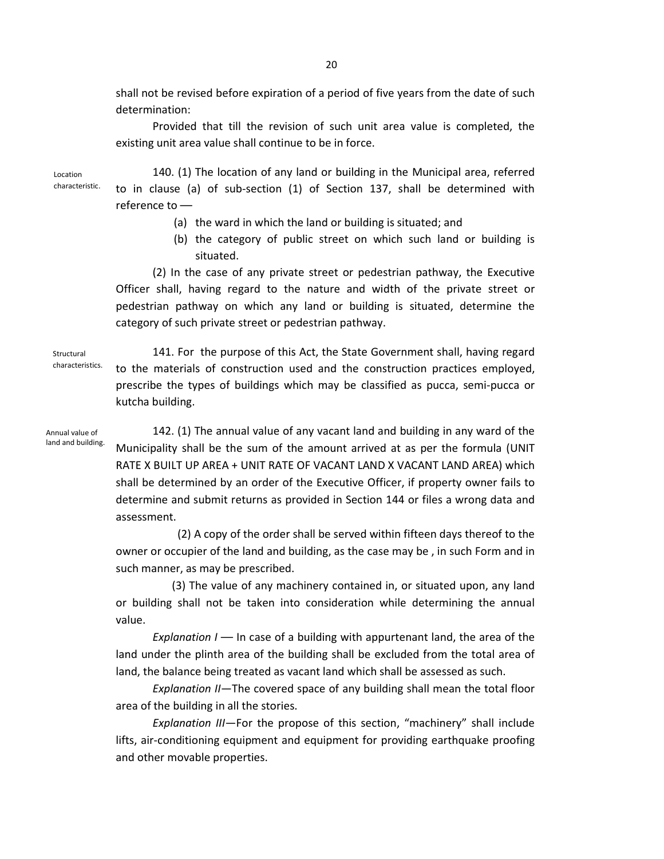shall not be revised before expiration of a period of five years from the date of such determination:

Provided that till the revision of such unit area value is completed, the existing unit area value shall continue to be in force.

Location characteristic.

140. (1) The location of any land or building in the Municipal area, referred to in clause (a) of sub-section (1) of Section 137, shall be determined with reference to —

- (a) the ward in which the land or building is situated; and
- (b) the category of public street on which such land or building is situated.

(2) In the case of any private street or pedestrian pathway, the Executive Officer shall, having regard to the nature and width of the private street or pedestrian pathway on which any land or building is situated, determine the category of such private street or pedestrian pathway.

Structural characteristics.

141. For the purpose of this Act, the State Government shall, having regard to the materials of construction used and the construction practices employed, prescribe the types of buildings which may be classified as pucca, semi-pucca or kutcha building.

Annual value of land and building.

142. (1) The annual value of any vacant land and building in any ward of the Municipality shall be the sum of the amount arrived at as per the formula (UNIT RATE X BUILT UP AREA + UNIT RATE OF VACANT LAND X VACANT LAND AREA) which shall be determined by an order of the Executive Officer, if property owner fails to determine and submit returns as provided in Section 144 or files a wrong data and assessment.

 (2) A copy of the order shall be served within fifteen days thereof to the owner or occupier of the land and building, as the case may be , in such Form and in such manner, as may be prescribed.

 (3) The value of any machinery contained in, or situated upon, any land or building shall not be taken into consideration while determining the annual value.

*Explanation I* — In case of a building with appurtenant land, the area of the land under the plinth area of the building shall be excluded from the total area of land, the balance being treated as vacant land which shall be assessed as such.

*Explanation II*—The covered space of any building shall mean the total floor area of the building in all the stories.

*Explanation III*—For the propose of this section, "machinery" shall include lifts, air-conditioning equipment and equipment for providing earthquake proofing and other movable properties.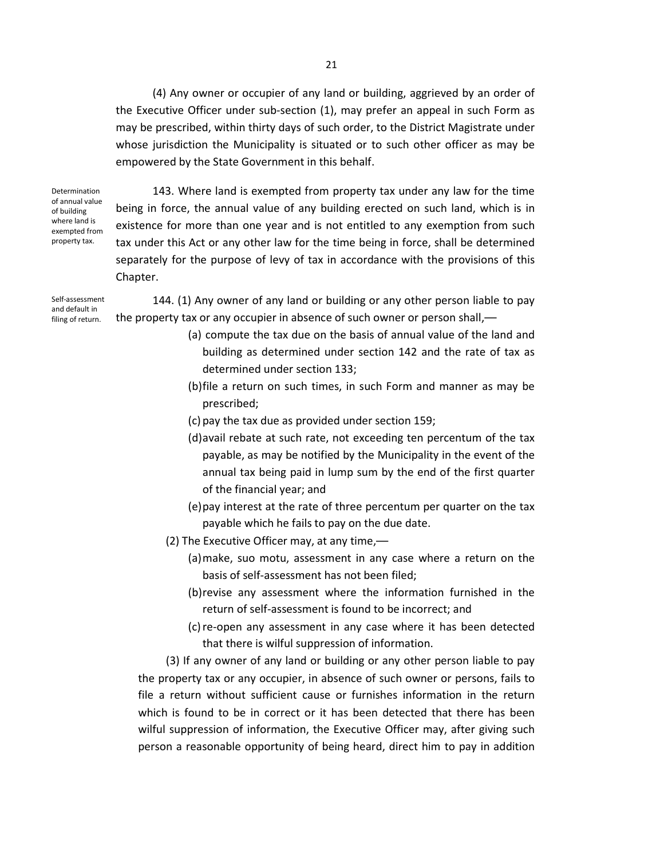(4) Any owner or occupier of any land or building, aggrieved by an order of the Executive Officer under sub-section (1), may prefer an appeal in such Form as may be prescribed, within thirty days of such order, to the District Magistrate under whose jurisdiction the Municipality is situated or to such other officer as may be empowered by the State Government in this behalf.

Determination of annual value of building where land is exempted from property tax.

143. Where land is exempted from property tax under any law for the time being in force, the annual value of any building erected on such land, which is in existence for more than one year and is not entitled to any exemption from such tax under this Act or any other law for the time being in force, shall be determined separately for the purpose of levy of tax in accordance with the provisions of this Chapter.

Self-assessment and default in filing of return.

144. (1) Any owner of any land or building or any other person liable to pay the property tax or any occupier in absence of such owner or person shall,—

- (a) compute the tax due on the basis of annual value of the land and building as determined under section 142 and the rate of tax as determined under section 133;
- (b)file a return on such times, in such Form and manner as may be prescribed;
- (c) pay the tax due as provided under section 159;
- (d)avail rebate at such rate, not exceeding ten percentum of the tax payable, as may be notified by the Municipality in the event of the annual tax being paid in lump sum by the end of the first quarter of the financial year; and
- (e)pay interest at the rate of three percentum per quarter on the tax payable which he fails to pay on the due date.
- (2) The Executive Officer may, at any time,—
	- (a)make, suo motu, assessment in any case where a return on the basis of self-assessment has not been filed;
	- (b)revise any assessment where the information furnished in the return of self-assessment is found to be incorrect; and
	- (c)re-open any assessment in any case where it has been detected that there is wilful suppression of information.

 (3) If any owner of any land or building or any other person liable to pay the property tax or any occupier, in absence of such owner or persons, fails to file a return without sufficient cause or furnishes information in the return which is found to be in correct or it has been detected that there has been wilful suppression of information, the Executive Officer may, after giving such person a reasonable opportunity of being heard, direct him to pay in addition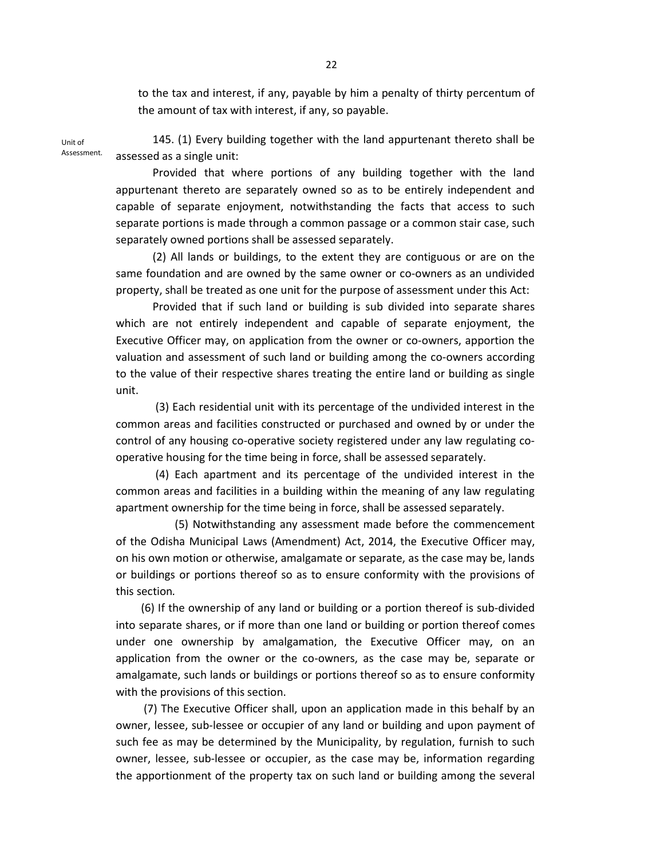to the tax and interest, if any, payable by him a penalty of thirty percentum of the amount of tax with interest, if any, so payable.

Unit of Assessment.

145. (1) Every building together with the land appurtenant thereto shall be assessed as a single unit:

Provided that where portions of any building together with the land appurtenant thereto are separately owned so as to be entirely independent and capable of separate enjoyment, notwithstanding the facts that access to such separate portions is made through a common passage or a common stair case, such separately owned portions shall be assessed separately.

(2) All lands or buildings, to the extent they are contiguous or are on the same foundation and are owned by the same owner or co-owners as an undivided property, shall be treated as one unit for the purpose of assessment under this Act:

Provided that if such land or building is sub divided into separate shares which are not entirely independent and capable of separate enjoyment, the Executive Officer may, on application from the owner or co-owners, apportion the valuation and assessment of such land or building among the co-owners according to the value of their respective shares treating the entire land or building as single unit.

 (3) Each residential unit with its percentage of the undivided interest in the common areas and facilities constructed or purchased and owned by or under the control of any housing co-operative society registered under any law regulating cooperative housing for the time being in force, shall be assessed separately.

 (4) Each apartment and its percentage of the undivided interest in the common areas and facilities in a building within the meaning of any law regulating apartment ownership for the time being in force, shall be assessed separately.

 (5) Notwithstanding any assessment made before the commencement of the Odisha Municipal Laws (Amendment) Act, 2014, the Executive Officer may, on his own motion or otherwise, amalgamate or separate, as the case may be, lands or buildings or portions thereof so as to ensure conformity with the provisions of this section*.* 

(6) If the ownership of any land or building or a portion thereof is sub-divided into separate shares, or if more than one land or building or portion thereof comes under one ownership by amalgamation, the Executive Officer may, on an application from the owner or the co-owners, as the case may be, separate or amalgamate, such lands or buildings or portions thereof so as to ensure conformity with the provisions of this section.

 (7) The Executive Officer shall, upon an application made in this behalf by an owner, lessee, sub-lessee or occupier of any land or building and upon payment of such fee as may be determined by the Municipality, by regulation, furnish to such owner, lessee, sub-lessee or occupier, as the case may be, information regarding the apportionment of the property tax on such land or building among the several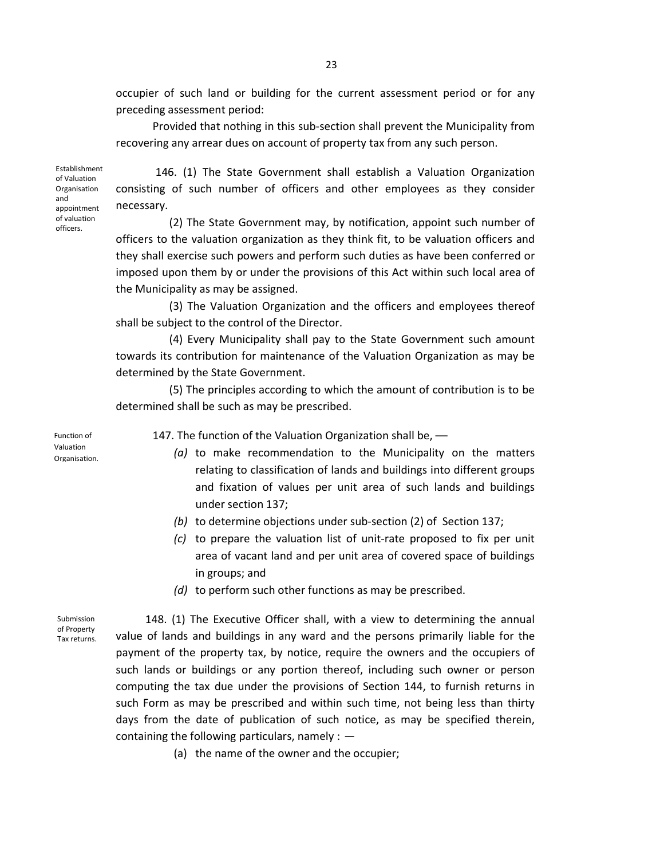occupier of such land or building for the current assessment period or for any preceding assessment period:

Provided that nothing in this sub-section shall prevent the Municipality from recovering any arrear dues on account of property tax from any such person.

Establishment of Valuation Organisation and appointment of valuation officers.

 146. (1) The State Government shall establish a Valuation Organization consisting of such number of officers and other employees as they consider necessary.

 (2) The State Government may, by notification, appoint such number of officers to the valuation organization as they think fit, to be valuation officers and they shall exercise such powers and perform such duties as have been conferred or imposed upon them by or under the provisions of this Act within such local area of the Municipality as may be assigned.

 (3) The Valuation Organization and the officers and employees thereof shall be subject to the control of the Director.

 (4) Every Municipality shall pay to the State Government such amount towards its contribution for maintenance of the Valuation Organization as may be determined by the State Government.

 (5) The principles according to which the amount of contribution is to be determined shall be such as may be prescribed.

Function of Valuation Organisation. 147. The function of the Valuation Organization shall be, -

- *(a)* to make recommendation to the Municipality on the matters relating to classification of lands and buildings into different groups and fixation of values per unit area of such lands and buildings under section 137;
	- *(b)* to determine objections under sub-section (2) of Section 137;
- *(c)* to prepare the valuation list of unit-rate proposed to fix per unit area of vacant land and per unit area of covered space of buildings in groups; and
- *(d)* to perform such other functions as may be prescribed.

Submission of Property Tax returns.

148. (1) The Executive Officer shall, with a view to determining the annual value of lands and buildings in any ward and the persons primarily liable for the payment of the property tax, by notice, require the owners and the occupiers of such lands or buildings or any portion thereof, including such owner or person computing the tax due under the provisions of Section 144, to furnish returns in such Form as may be prescribed and within such time, not being less than thirty days from the date of publication of such notice, as may be specified therein, containing the following particulars, namely  $: -$ 

(a) the name of the owner and the occupier;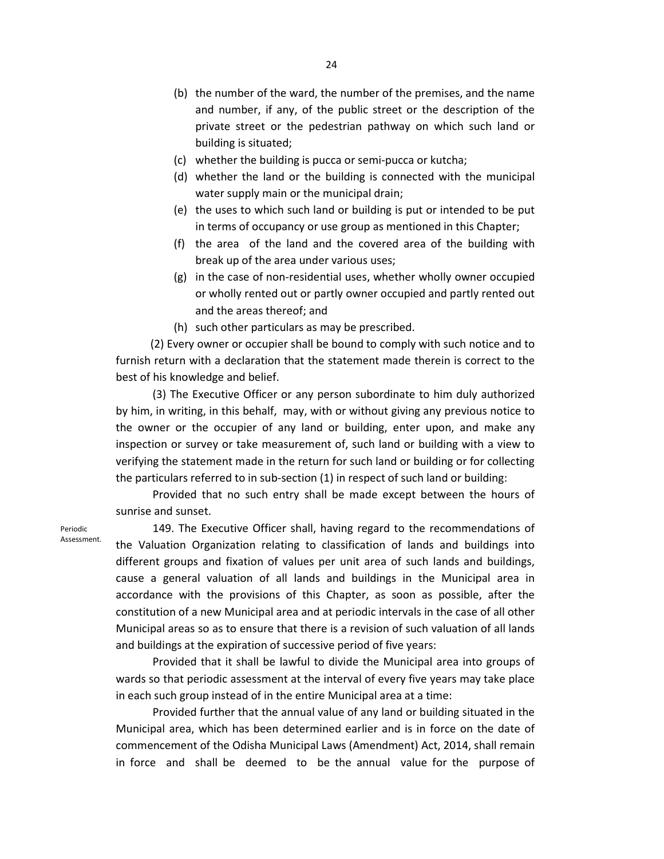- (b) the number of the ward, the number of the premises, and the name and number, if any, of the public street or the description of the private street or the pedestrian pathway on which such land or building is situated;
- (c) whether the building is pucca or semi-pucca or kutcha;
- (d) whether the land or the building is connected with the municipal water supply main or the municipal drain;
- (e) the uses to which such land or building is put or intended to be put in terms of occupancy or use group as mentioned in this Chapter;
- (f) the area of the land and the covered area of the building with break up of the area under various uses;
- (g) in the case of non-residential uses, whether wholly owner occupied or wholly rented out or partly owner occupied and partly rented out and the areas thereof; and
- (h) such other particulars as may be prescribed.

 (2) Every owner or occupier shall be bound to comply with such notice and to furnish return with a declaration that the statement made therein is correct to the best of his knowledge and belief.

(3) The Executive Officer or any person subordinate to him duly authorized by him, in writing, in this behalf, may, with or without giving any previous notice to the owner or the occupier of any land or building, enter upon, and make any inspection or survey or take measurement of, such land or building with a view to verifying the statement made in the return for such land or building or for collecting the particulars referred to in sub-section (1) in respect of such land or building:

Provided that no such entry shall be made except between the hours of sunrise and sunset.

Periodic Assessment.

149. The Executive Officer shall, having regard to the recommendations of the Valuation Organization relating to classification of lands and buildings into different groups and fixation of values per unit area of such lands and buildings, cause a general valuation of all lands and buildings in the Municipal area in accordance with the provisions of this Chapter, as soon as possible, after the constitution of a new Municipal area and at periodic intervals in the case of all other Municipal areas so as to ensure that there is a revision of such valuation of all lands and buildings at the expiration of successive period of five years:

Provided that it shall be lawful to divide the Municipal area into groups of wards so that periodic assessment at the interval of every five years may take place in each such group instead of in the entire Municipal area at a time:

Provided further that the annual value of any land or building situated in the Municipal area, which has been determined earlier and is in force on the date of commencement of the Odisha Municipal Laws (Amendment) Act, 2014, shall remain in force and shall be deemed to be the annual value for the purpose of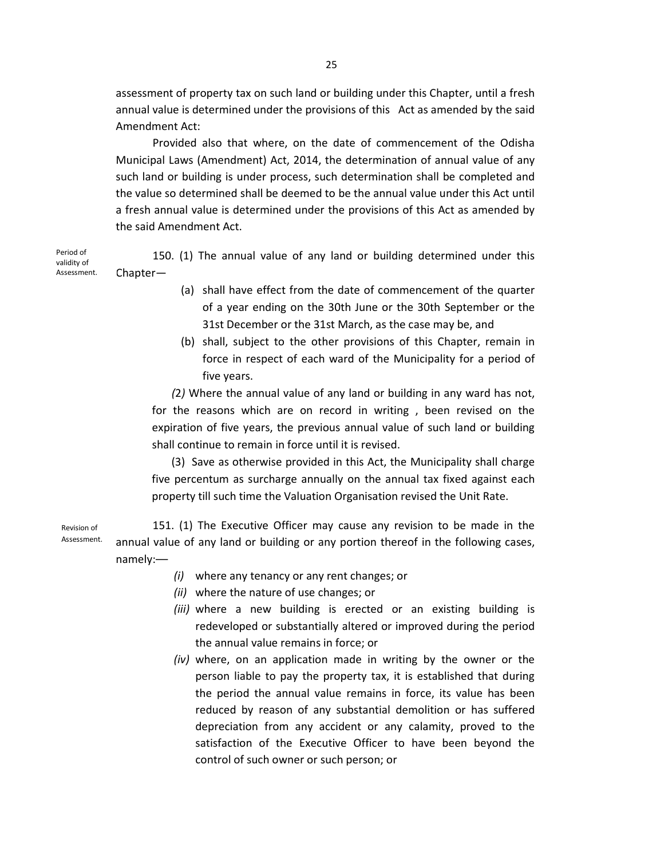assessment of property tax on such land or building under this Chapter, until a fresh annual value is determined under the provisions of this Act as amended by the said Amendment Act:

Provided also that where, on the date of commencement of the Odisha Municipal Laws (Amendment) Act, 2014, the determination of annual value of any such land or building is under process, such determination shall be completed and the value so determined shall be deemed to be the annual value under this Act until a fresh annual value is determined under the provisions of this Act as amended by the said Amendment Act.

Period of validity of Assessment.

150. (1) The annual value of any land or building determined under this Chapter—

- (a) shall have effect from the date of commencement of the quarter of a year ending on the 30th June or the 30th September or the 31st December or the 31st March, as the case may be, and
- (b) shall, subject to the other provisions of this Chapter, remain in force in respect of each ward of the Municipality for a period of five years.

 *(*2*)* Where the annual value of any land or building in any ward has not, for the reasons which are on record in writing , been revised on the expiration of five years, the previous annual value of such land or building shall continue to remain in force until it is revised.

 (3) Save as otherwise provided in this Act, the Municipality shall charge five percentum as surcharge annually on the annual tax fixed against each property till such time the Valuation Organisation revised the Unit Rate.

151. (1) The Executive Officer may cause any revision to be made in the annual value of any land or building or any portion thereof in the following cases, namely:— Revision of Assessment.

- *(i)* where any tenancy or any rent changes; or
- *(ii)* where the nature of use changes; or
- *(iii)* where a new building is erected or an existing building is redeveloped or substantially altered or improved during the period the annual value remains in force; or
- *(iv)* where, on an application made in writing by the owner or the person liable to pay the property tax, it is established that during the period the annual value remains in force, its value has been reduced by reason of any substantial demolition or has suffered depreciation from any accident or any calamity, proved to the satisfaction of the Executive Officer to have been beyond the control of such owner or such person; or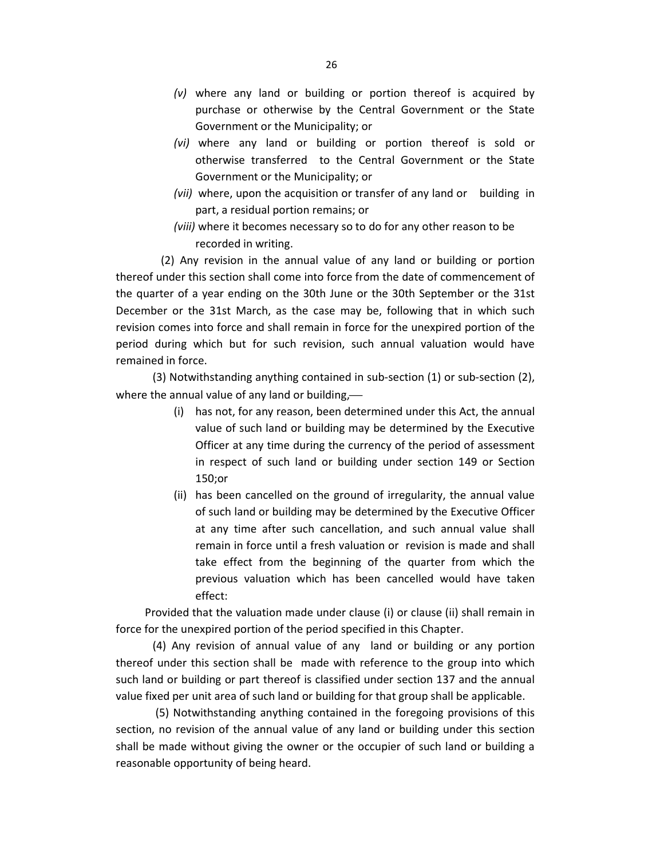- *(v)* where any land or building or portion thereof is acquired by purchase or otherwise by the Central Government or the State Government or the Municipality; or
- *(vi)* where any land or building or portion thereof is sold or otherwise transferred to the Central Government or the State Government or the Municipality; or
- *(vii)* where, upon the acquisition or transfer of any land or building in part, a residual portion remains; or
- *(viii)* where it becomes necessary so to do for any other reason to be recorded in writing.

 (2) Any revision in the annual value of any land or building or portion thereof under this section shall come into force from the date of commencement of the quarter of a year ending on the 30th June or the 30th September or the 31st December or the 31st March, as the case may be, following that in which such revision comes into force and shall remain in force for the unexpired portion of the period during which but for such revision, such annual valuation would have remained in force.

(3) Notwithstanding anything contained in sub-section (1) or sub-section (2), where the annual value of any land or building,—

- (i) has not, for any reason, been determined under this Act, the annual value of such land or building may be determined by the Executive Officer at any time during the currency of the period of assessment in respect of such land or building under section 149 or Section 150;or
- (ii) has been cancelled on the ground of irregularity, the annual value of such land or building may be determined by the Executive Officer at any time after such cancellation, and such annual value shall remain in force until a fresh valuation or revision is made and shall take effect from the beginning of the quarter from which the previous valuation which has been cancelled would have taken effect:

Provided that the valuation made under clause (i) or clause (ii) shall remain in force for the unexpired portion of the period specified in this Chapter.

(4) Any revision of annual value of any land or building or any portion thereof under this section shall be made with reference to the group into which such land or building or part thereof is classified under section 137 and the annual value fixed per unit area of such land or building for that group shall be applicable.

 (5) Notwithstanding anything contained in the foregoing provisions of this section, no revision of the annual value of any land or building under this section shall be made without giving the owner or the occupier of such land or building a reasonable opportunity of being heard.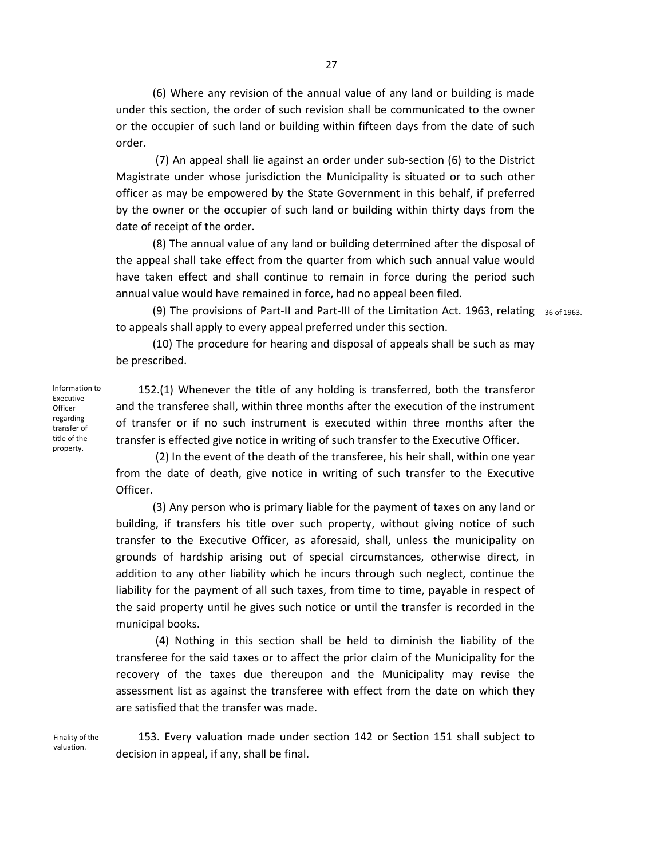(6) Where any revision of the annual value of any land or building is made under this section, the order of such revision shall be communicated to the owner or the occupier of such land or building within fifteen days from the date of such order.

 (7) An appeal shall lie against an order under sub-section (6) to the District Magistrate under whose jurisdiction the Municipality is situated or to such other officer as may be empowered by the State Government in this behalf, if preferred by the owner or the occupier of such land or building within thirty days from the date of receipt of the order.

(8) The annual value of any land or building determined after the disposal of the appeal shall take effect from the quarter from which such annual value would have taken effect and shall continue to remain in force during the period such annual value would have remained in force, had no appeal been filed.

(9) The provisions of Part-II and Part-III of the Limitation Act. 1963, relating 36 of 1963. to appeals shall apply to every appeal preferred under this section.

(10) The procedure for hearing and disposal of appeals shall be such as may be prescribed.

Information to Executive **Officer** regarding transfer of title of the property.

 152.(1) Whenever the title of any holding is transferred, both the transferor and the transferee shall, within three months after the execution of the instrument of transfer or if no such instrument is executed within three months after the transfer is effected give notice in writing of such transfer to the Executive Officer.

(2) In the event of the death of the transferee, his heir shall, within one year from the date of death, give notice in writing of such transfer to the Executive Officer.

(3) Any person who is primary liable for the payment of taxes on any land or building, if transfers his title over such property, without giving notice of such transfer to the Executive Officer, as aforesaid, shall, unless the municipality on grounds of hardship arising out of special circumstances, otherwise direct, in addition to any other liability which he incurs through such neglect, continue the liability for the payment of all such taxes, from time to time, payable in respect of the said property until he gives such notice or until the transfer is recorded in the municipal books.

 (4) Nothing in this section shall be held to diminish the liability of the transferee for the said taxes or to affect the prior claim of the Municipality for the recovery of the taxes due thereupon and the Municipality may revise the assessment list as against the transferee with effect from the date on which they are satisfied that the transfer was made.

Finality of the valuation.

 153. Every valuation made under section 142 or Section 151 shall subject to decision in appeal, if any, shall be final.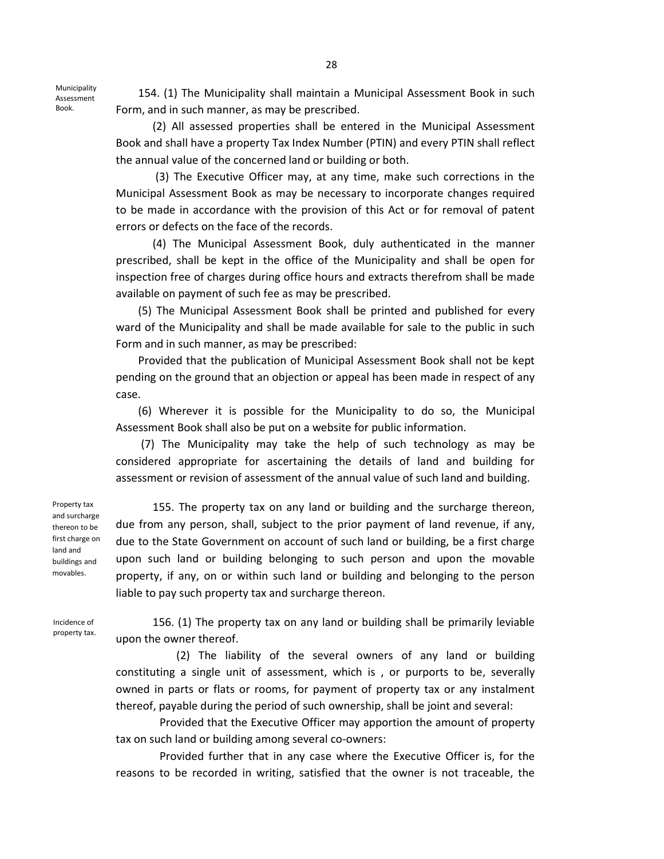Municipality Assessment Book.

 154. (1) The Municipality shall maintain a Municipal Assessment Book in such Form, and in such manner, as may be prescribed.

(2) All assessed properties shall be entered in the Municipal Assessment Book and shall have a property Tax Index Number (PTIN) and every PTIN shall reflect the annual value of the concerned land or building or both.

 (3) The Executive Officer may, at any time, make such corrections in the Municipal Assessment Book as may be necessary to incorporate changes required to be made in accordance with the provision of this Act or for removal of patent errors or defects on the face of the records.

(4) The Municipal Assessment Book, duly authenticated in the manner prescribed, shall be kept in the office of the Municipality and shall be open for inspection free of charges during office hours and extracts therefrom shall be made available on payment of such fee as may be prescribed.

 (5) The Municipal Assessment Book shall be printed and published for every ward of the Municipality and shall be made available for sale to the public in such Form and in such manner, as may be prescribed:

 Provided that the publication of Municipal Assessment Book shall not be kept pending on the ground that an objection or appeal has been made in respect of any case.

 (6) Wherever it is possible for the Municipality to do so, the Municipal Assessment Book shall also be put on a website for public information.

 (7) The Municipality may take the help of such technology as may be considered appropriate for ascertaining the details of land and building for assessment or revision of assessment of the annual value of such land and building.

Property tax and surcharge thereon to be first charge on land and buildings and movables.

155. The property tax on any land or building and the surcharge thereon, due from any person, shall, subject to the prior payment of land revenue, if any, due to the State Government on account of such land or building, be a first charge upon such land or building belonging to such person and upon the movable property, if any, on or within such land or building and belonging to the person liable to pay such property tax and surcharge thereon.

Incidence of property tax.

156. (1) The property tax on any land or building shall be primarily leviable upon the owner thereof.

(2) The liability of the several owners of any land or building constituting a single unit of assessment, which is , or purports to be, severally owned in parts or flats or rooms, for payment of property tax or any instalment thereof, payable during the period of such ownership, shall be joint and several:

Provided that the Executive Officer may apportion the amount of property tax on such land or building among several co-owners:

Provided further that in any case where the Executive Officer is, for the reasons to be recorded in writing, satisfied that the owner is not traceable, the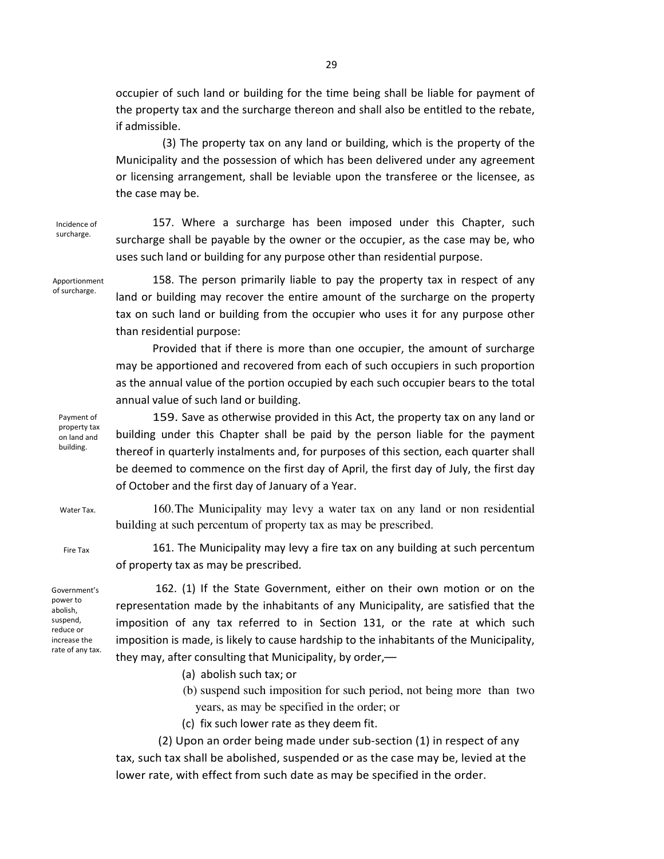occupier of such land or building for the time being shall be liable for payment of the property tax and the surcharge thereon and shall also be entitled to the rebate, if admissible.

(3) The property tax on any land or building, which is the property of the Municipality and the possession of which has been delivered under any agreement or licensing arrangement, shall be leviable upon the transferee or the licensee, as the case may be.

Incidence of surcharge.

157. Where a surcharge has been imposed under this Chapter, such surcharge shall be payable by the owner or the occupier, as the case may be, who uses such land or building for any purpose other than residential purpose.

Apportionment of surcharge.

158. The person primarily liable to pay the property tax in respect of any land or building may recover the entire amount of the surcharge on the property tax on such land or building from the occupier who uses it for any purpose other than residential purpose:

Provided that if there is more than one occupier, the amount of surcharge may be apportioned and recovered from each of such occupiers in such proportion as the annual value of the portion occupied by each such occupier bears to the total annual value of such land or building.

Payment of property tax on land and building.

159. Save as otherwise provided in this Act, the property tax on any land or building under this Chapter shall be paid by the person liable for the payment thereof in quarterly instalments and, for purposes of this section, each quarter shall be deemed to commence on the first day of April, the first day of July, the first day of October and the first day of January of a Year.

160. The Municipality may levy a water tax on any land or non residential building at such percentum of property tax as may be prescribed.

Fire Tax

Water Tax.

161. The Municipality may levy a fire tax on any building at such percentum of property tax as may be prescribed.

Government's power to abolish, suspend, reduce or increase the rate of any tax.

 162. (1) If the State Government, either on their own motion or on the representation made by the inhabitants of any Municipality, are satisfied that the imposition of any tax referred to in Section 131, or the rate at which such imposition is made, is likely to cause hardship to the inhabitants of the Municipality, they may, after consulting that Municipality, by order,—

- (a) abolish such tax; or
- (b) suspend such imposition for such period, not being more than two years, as may be specified in the order; or
- (c) fix such lower rate as they deem fit.

 (2) Upon an order being made under sub-section (1) in respect of any tax, such tax shall be abolished, suspended or as the case may be, levied at the lower rate, with effect from such date as may be specified in the order.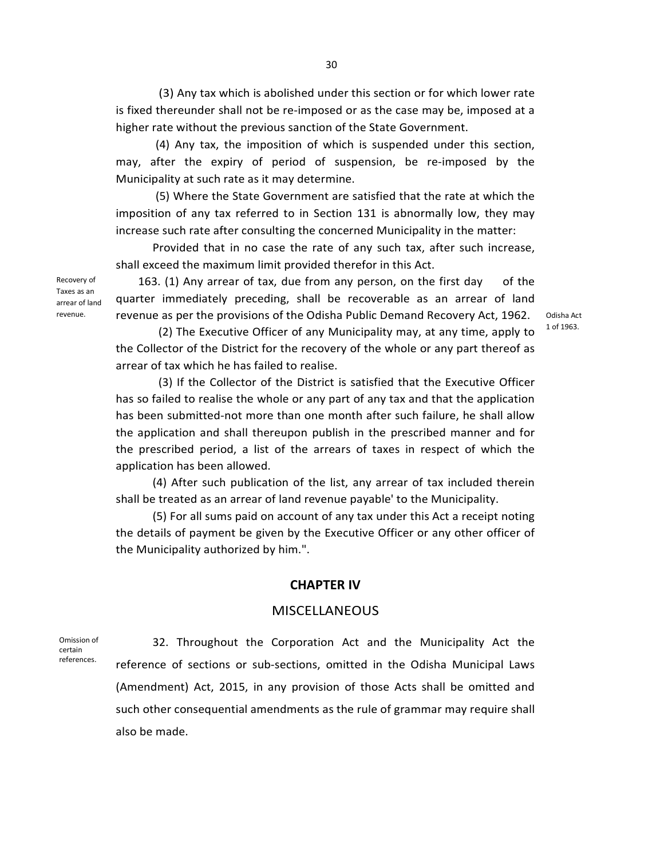(3) Any tax which is abolished under this section or for which lower rate is fixed thereunder shall not be re-imposed or as the case may be, imposed at a higher rate without the previous sanction of the State Government.

 (4) Any tax, the imposition of which is suspended under this section, may, after the expiry of period of suspension, be re-imposed by the Municipality at such rate as it may determine.

 (5) Where the State Government are satisfied that the rate at which the imposition of any tax referred to in Section 131 is abnormally low, they may increase such rate after consulting the concerned Municipality in the matter:

Provided that in no case the rate of any such tax, after such increase, shall exceed the maximum limit provided therefor in this Act.

Recovery of Taxes as an arrear of land revenue.

163. (1) Any arrear of tax, due from any person, on the first day of the quarter immediately preceding, shall be recoverable as an arrear of land revenue as per the provisions of the Odisha Public Demand Recovery Act, 1962.

Odisha Act 1 of 1963.

 (2) The Executive Officer of any Municipality may, at any time, apply to the Collector of the District for the recovery of the whole or any part thereof as arrear of tax which he has failed to realise.

 (3) If the Collector of the District is satisfied that the Executive Officer has so failed to realise the whole or any part of any tax and that the application has been submitted-not more than one month after such failure, he shall allow the application and shall thereupon publish in the prescribed manner and for the prescribed period, a list of the arrears of taxes in respect of which the application has been allowed.

(4) After such publication of the list, any arrear of tax included therein shall be treated as an arrear of land revenue payable' to the Municipality.

(5) For all sums paid on account of any tax under this Act a receipt noting the details of payment be given by the Executive Officer or any other officer of the Municipality authorized by him.".

#### **CHAPTER IV**

#### **MISCELLANEOUS**

Omission of certain references.

32. Throughout the Corporation Act and the Municipality Act the reference of sections or sub-sections, omitted in the Odisha Municipal Laws (Amendment) Act, 2015, in any provision of those Acts shall be omitted and such other consequential amendments as the rule of grammar may require shall also be made.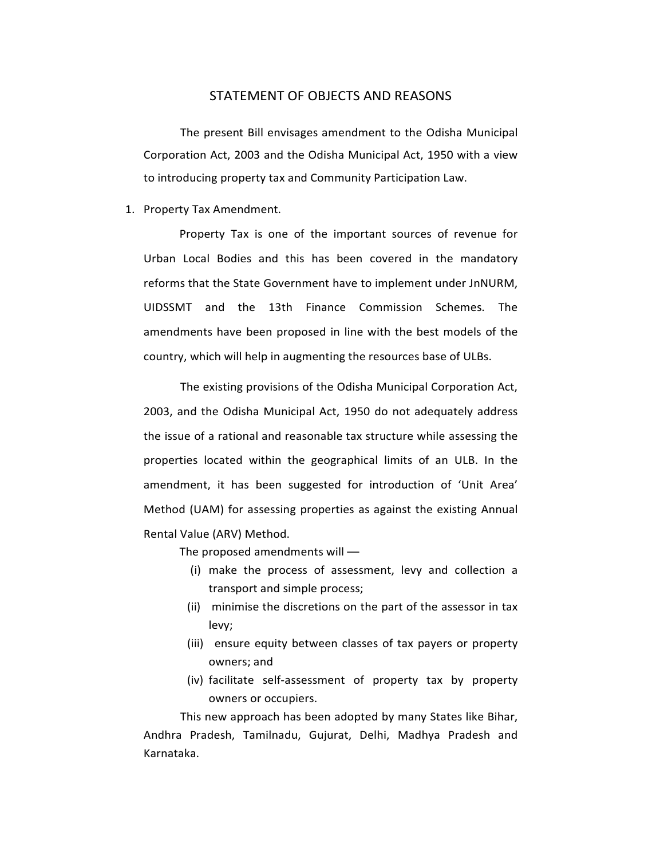### STATEMENT OF OBJECTS AND REASONS

 The present Bill envisages amendment to the Odisha Municipal Corporation Act, 2003 and the Odisha Municipal Act, 1950 with a view to introducing property tax and Community Participation Law.

#### 1. Property Tax Amendment.

Property Tax is one of the important sources of revenue for Urban Local Bodies and this has been covered in the mandatory reforms that the State Government have to implement under JnNURM, UIDSSMT and the 13th Finance Commission Schemes. The amendments have been proposed in line with the best models of the country, which will help in augmenting the resources base of ULBs.

 The existing provisions of the Odisha Municipal Corporation Act, 2003, and the Odisha Municipal Act, 1950 do not adequately address the issue of a rational and reasonable tax structure while assessing the properties located within the geographical limits of an ULB. In the amendment, it has been suggested for introduction of 'Unit Area' Method (UAM) for assessing properties as against the existing Annual Rental Value (ARV) Method.

The proposed amendments will —

- (i) make the process of assessment, levy and collection a transport and simple process;
- (ii) minimise the discretions on the part of the assessor in tax levy;
- (iii) ensure equity between classes of tax payers or property owners; and
- (iv) facilitate self-assessment of property tax by property owners or occupiers.

This new approach has been adopted by many States like Bihar, Andhra Pradesh, Tamilnadu, Gujurat, Delhi, Madhya Pradesh and Karnataka.